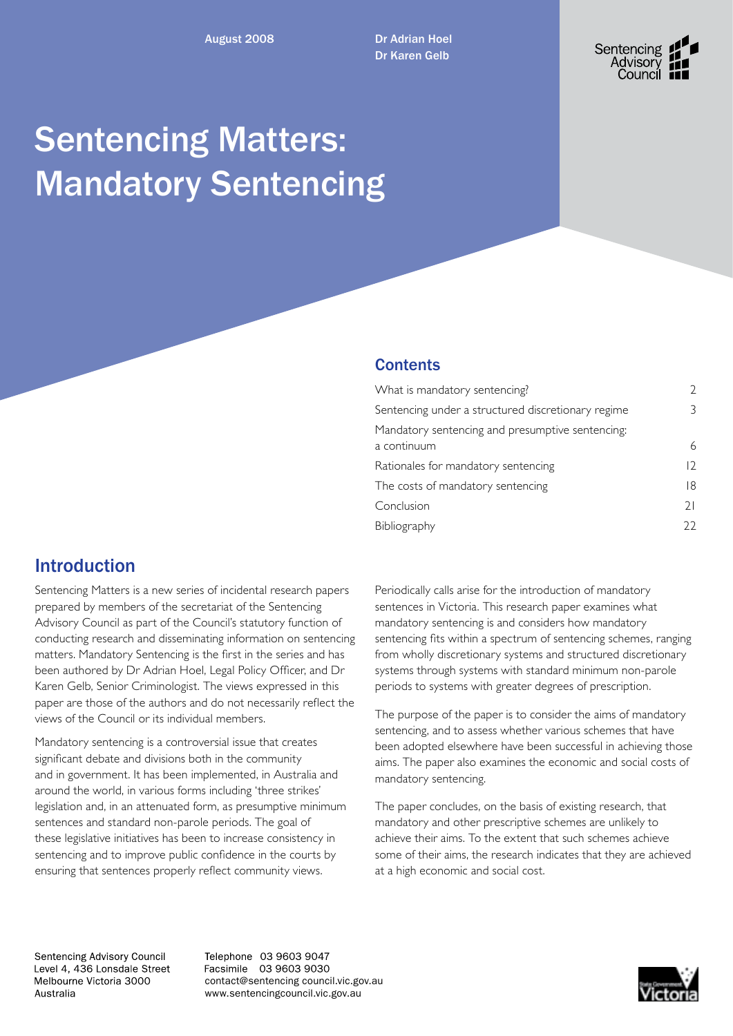August 2008 Dr Adrian Hoel Dr Karen Gelb



# Sentencing Matters: Mandatory Sentencing

### **Contents**

| What is mandatory sentencing?                      | V          |
|----------------------------------------------------|------------|
| Sentencing under a structured discretionary regime | 3          |
| Mandatory sentencing and presumptive sentencing.   |            |
| a continuum                                        | 6          |
| Rationales for mandatory sentencing                | $\sqrt{2}$ |
| The costs of mandatory sentencing                  | 18         |
| Conclusion                                         | 21         |
| Bibliography                                       | フフ         |
|                                                    |            |

## Introduction

Sentencing Matters is a new series of incidental research papers prepared by members of the secretariat of the Sentencing Advisory Council as part of the Council's statutory function of conducting research and disseminating information on sentencing matters. Mandatory Sentencing is the first in the series and has been authored by Dr Adrian Hoel, Legal Policy Officer, and Dr Karen Gelb, Senior Criminologist. The views expressed in this paper are those of the authors and do not necessarily reflect the views of the Council or its individual members.

Mandatory sentencing is a controversial issue that creates significant debate and divisions both in the community and in government. It has been implemented, in Australia and around the world, in various forms including 'three strikes' legislation and, in an attenuated form, as presumptive minimum sentences and standard non-parole periods. The goal of these legislative initiatives has been to increase consistency in sentencing and to improve public confidence in the courts by ensuring that sentences properly reflect community views.

Periodically calls arise for the introduction of mandatory sentences in Victoria. This research paper examines what mandatory sentencing is and considers how mandatory sentencing fits within a spectrum of sentencing schemes, ranging from wholly discretionary systems and structured discretionary systems through systems with standard minimum non-parole periods to systems with greater degrees of prescription.

The purpose of the paper is to consider the aims of mandatory sentencing, and to assess whether various schemes that have been adopted elsewhere have been successful in achieving those aims. The paper also examines the economic and social costs of mandatory sentencing.

The paper concludes, on the basis of existing research, that mandatory and other prescriptive schemes are unlikely to achieve their aims. To the extent that such schemes achieve some of their aims, the research indicates that they are achieved at a high economic and social cost.

Sentencing Advisory Council Level 4, 436 Lonsdale Street Melbourne Victoria 3000 Australia

Telephone 03 9603 9047 Facsimile 03 9603 9030 contact@sentencing council.vic.gov.au www.sentencingcouncil.vic.gov.au

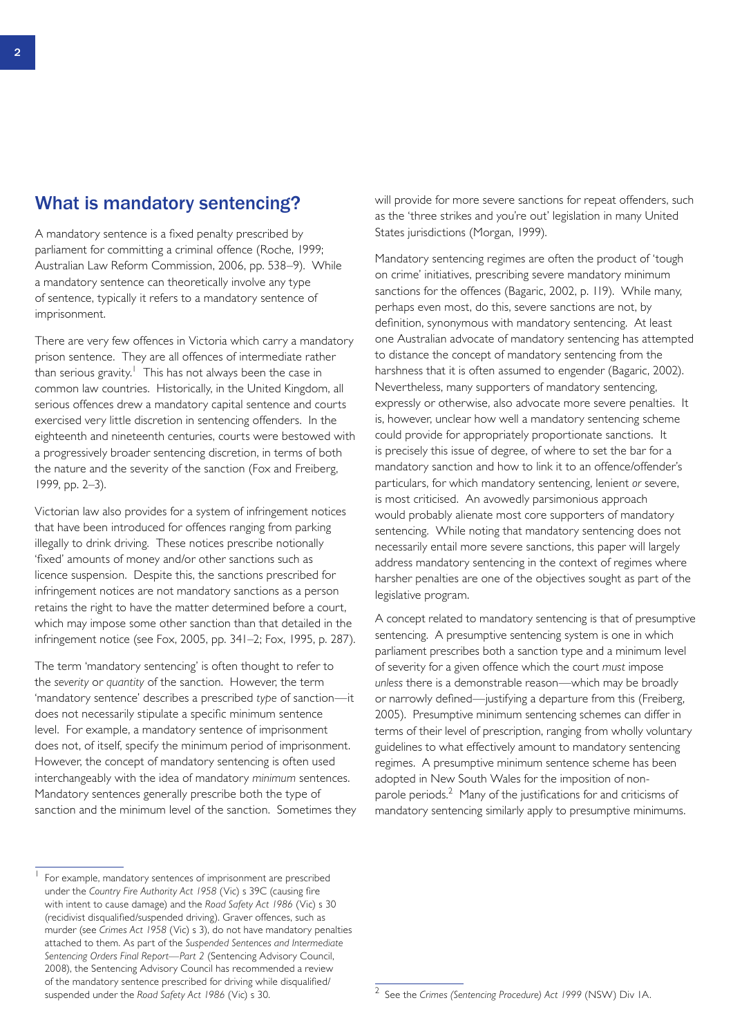### What is mandatory sentencing?

A mandatory sentence is a fixed penalty prescribed by parliament for committing a criminal offence (Roche, 1999; Australian Law Reform Commission, 2006, pp. 538–9). While a mandatory sentence can theoretically involve any type of sentence, typically it refers to a mandatory sentence of imprisonment.

There are very few offences in Victoria which carry a mandatory prison sentence. They are all offences of intermediate rather than serious gravity. $^1$  This has not always been the case in common law countries. Historically, in the United Kingdom, all serious offences drew a mandatory capital sentence and courts exercised very little discretion in sentencing offenders. In the eighteenth and nineteenth centuries, courts were bestowed with a progressively broader sentencing discretion, in terms of both the nature and the severity of the sanction (Fox and Freiberg, 1999, pp. 2–3).

Victorian law also provides for a system of infringement notices that have been introduced for offences ranging from parking illegally to drink driving. These notices prescribe notionally 'fixed' amounts of money and/or other sanctions such as licence suspension. Despite this, the sanctions prescribed for infringement notices are not mandatory sanctions as a person retains the right to have the matter determined before a court, which may impose some other sanction than that detailed in the infringement notice (see Fox, 2005, pp. 341–2; Fox, 1995, p. 287).

The term 'mandatory sentencing' is often thought to refer to the *severity* or *quantity* of the sanction. However, the term 'mandatory sentence' describes a prescribed *type* of sanction—it does not necessarily stipulate a specific minimum sentence level. For example, a mandatory sentence of imprisonment does not, of itself, specify the minimum period of imprisonment. However, the concept of mandatory sentencing is often used interchangeably with the idea of mandatory *minimum* sentences. Mandatory sentences generally prescribe both the type of sanction and the minimum level of the sanction. Sometimes they

For example, mandatory sentences of imprisonment are prescribed under the *Country Fire Authority Act 1958* (Vic) s 39C (causing fire with intent to cause damage) and the *Road Safety Act 1986* (Vic) s 30 (recidivist disqualified/suspended driving). Graver offences, such as murder (see *Crimes Act 1958* (Vic) s 3), do not have mandatory penalties attached to them. As part of the *Suspended Sentences and Intermediate Sentencing Orders Final Report—Part 2* (Sentencing Advisory Council, 2008), the Sentencing Advisory Council has recommended a review of the mandatory sentence prescribed for driving while disqualified/ suspended under the *Road Safety Act 1986* (Vic) s 30.

will provide for more severe sanctions for repeat offenders, such as the 'three strikes and you're out' legislation in many United States jurisdictions (Morgan, 1999).

Mandatory sentencing regimes are often the product of 'tough on crime' initiatives, prescribing severe mandatory minimum sanctions for the offences (Bagaric, 2002, p. 119). While many, perhaps even most, do this, severe sanctions are not, by definition, synonymous with mandatory sentencing. At least one Australian advocate of mandatory sentencing has attempted to distance the concept of mandatory sentencing from the harshness that it is often assumed to engender (Bagaric, 2002). Nevertheless, many supporters of mandatory sentencing, expressly or otherwise, also advocate more severe penalties. It is, however, unclear how well a mandatory sentencing scheme could provide for appropriately proportionate sanctions. It is precisely this issue of degree, of where to set the bar for a mandatory sanction and how to link it to an offence/offender's particulars, for which mandatory sentencing, lenient *or* severe, is most criticised. An avowedly parsimonious approach would probably alienate most core supporters of mandatory sentencing. While noting that mandatory sentencing does not necessarily entail more severe sanctions, this paper will largely address mandatory sentencing in the context of regimes where harsher penalties are one of the objectives sought as part of the legislative program.

A concept related to mandatory sentencing is that of presumptive sentencing. A presumptive sentencing system is one in which parliament prescribes both a sanction type and a minimum level of severity for a given offence which the court *must* impose *unless* there is a demonstrable reason—which may be broadly or narrowly defined—justifying a departure from this (Freiberg, 2005). Presumptive minimum sentencing schemes can differ in terms of their level of prescription, ranging from wholly voluntary guidelines to what effectively amount to mandatory sentencing regimes. A presumptive minimum sentence scheme has been adopted in New South Wales for the imposition of nonparole periods.<sup>2</sup> Many of the justifications for and criticisms of mandatory sentencing similarly apply to presumptive minimums.

<sup>2</sup> See the *Crimes (Sentencing Procedure) Act 1999* (NSW) Div 1A.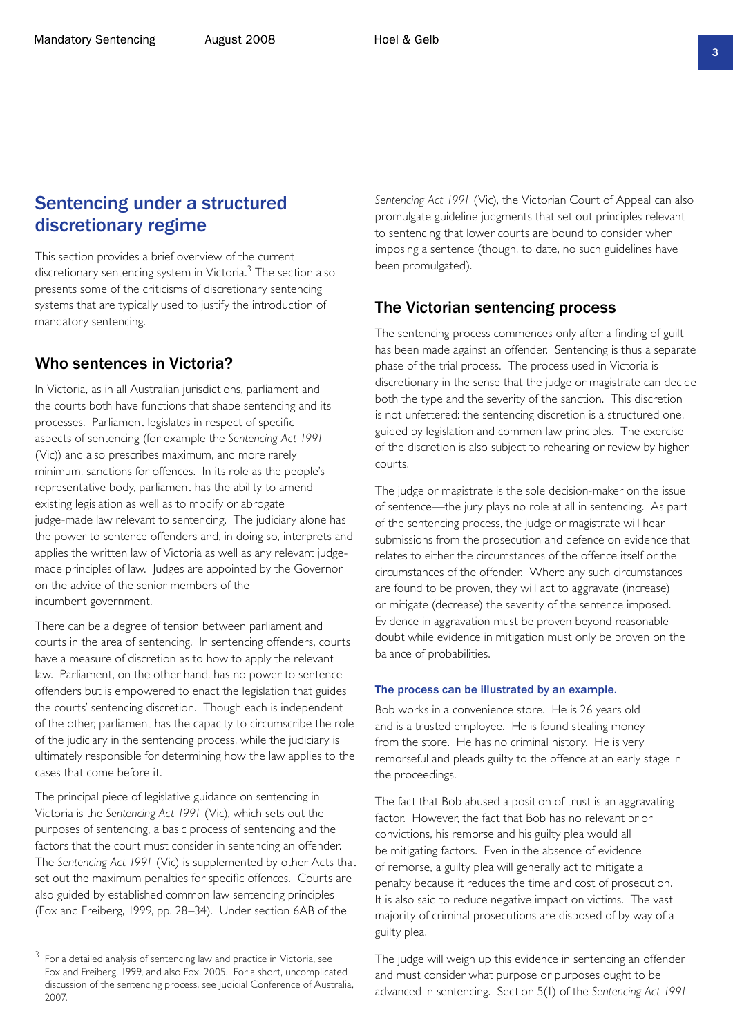### Sentencing under a structured discretionary regime

This section provides a brief overview of the current discretionary sentencing system in Victoria.<sup>3</sup> The section also presents some of the criticisms of discretionary sentencing systems that are typically used to justify the introduction of mandatory sentencing.

#### Who sentences in Victoria?

In Victoria, as in all Australian jurisdictions, parliament and the courts both have functions that shape sentencing and its processes. Parliament legislates in respect of specific aspects of sentencing (for example the *Sentencing Act 1991* (Vic)) and also prescribes maximum, and more rarely minimum, sanctions for offences. In its role as the people's representative body, parliament has the ability to amend existing legislation as well as to modify or abrogate judge-made law relevant to sentencing. The judiciary alone has the power to sentence offenders and, in doing so, interprets and applies the written law of Victoria as well as any relevant judgemade principles of law. Judges are appointed by the Governor on the advice of the senior members of the incumbent government.

There can be a degree of tension between parliament and courts in the area of sentencing. In sentencing offenders, courts have a measure of discretion as to how to apply the relevant law. Parliament, on the other hand, has no power to sentence offenders but is empowered to enact the legislation that guides the courts' sentencing discretion. Though each is independent of the other, parliament has the capacity to circumscribe the role of the judiciary in the sentencing process, while the judiciary is ultimately responsible for determining how the law applies to the cases that come before it.

The principal piece of legislative guidance on sentencing in Victoria is the *Sentencing Act 1991* (Vic), which sets out the purposes of sentencing, a basic process of sentencing and the factors that the court must consider in sentencing an offender. The *Sentencing Act 1991* (Vic) is supplemented by other Acts that set out the maximum penalties for specific offences. Courts are also guided by established common law sentencing principles (Fox and Freiberg, 1999, pp. 28–34). Under section 6AB of the

*Sentencing Act 1991* (Vic), the Victorian Court of Appeal can also promulgate guideline judgments that set out principles relevant to sentencing that lower courts are bound to consider when imposing a sentence (though, to date, no such guidelines have been promulgated).

### The Victorian sentencing process

The sentencing process commences only after a finding of guilt has been made against an offender. Sentencing is thus a separate phase of the trial process. The process used in Victoria is discretionary in the sense that the judge or magistrate can decide both the type and the severity of the sanction. This discretion is not unfettered: the sentencing discretion is a structured one, guided by legislation and common law principles. The exercise of the discretion is also subject to rehearing or review by higher courts.

The judge or magistrate is the sole decision-maker on the issue of sentence—the jury plays no role at all in sentencing. As part of the sentencing process, the judge or magistrate will hear submissions from the prosecution and defence on evidence that relates to either the circumstances of the offence itself or the circumstances of the offender. Where any such circumstances are found to be proven, they will act to aggravate (increase) or mitigate (decrease) the severity of the sentence imposed. Evidence in aggravation must be proven beyond reasonable doubt while evidence in mitigation must only be proven on the balance of probabilities.

#### The process can be illustrated by an example.

Bob works in a convenience store. He is 26 years old and is a trusted employee. He is found stealing money from the store. He has no criminal history. He is very remorseful and pleads guilty to the offence at an early stage in the proceedings.

The fact that Bob abused a position of trust is an aggravating factor. However, the fact that Bob has no relevant prior convictions, his remorse and his guilty plea would all be mitigating factors. Even in the absence of evidence of remorse, a guilty plea will generally act to mitigate a penalty because it reduces the time and cost of prosecution. It is also said to reduce negative impact on victims. The vast majority of criminal prosecutions are disposed of by way of a guilty plea.

The judge will weigh up this evidence in sentencing an offender and must consider what purpose or purposes ought to be advanced in sentencing. Section 5(1) of the *Sentencing Act 1991*

<sup>&</sup>lt;sup>3</sup> For a detailed analysis of sentencing law and practice in Victoria, see Fox and Freiberg, 1999, and also Fox, 2005. For a short, uncomplicated discussion of the sentencing process, see Judicial Conference of Australia, 2007.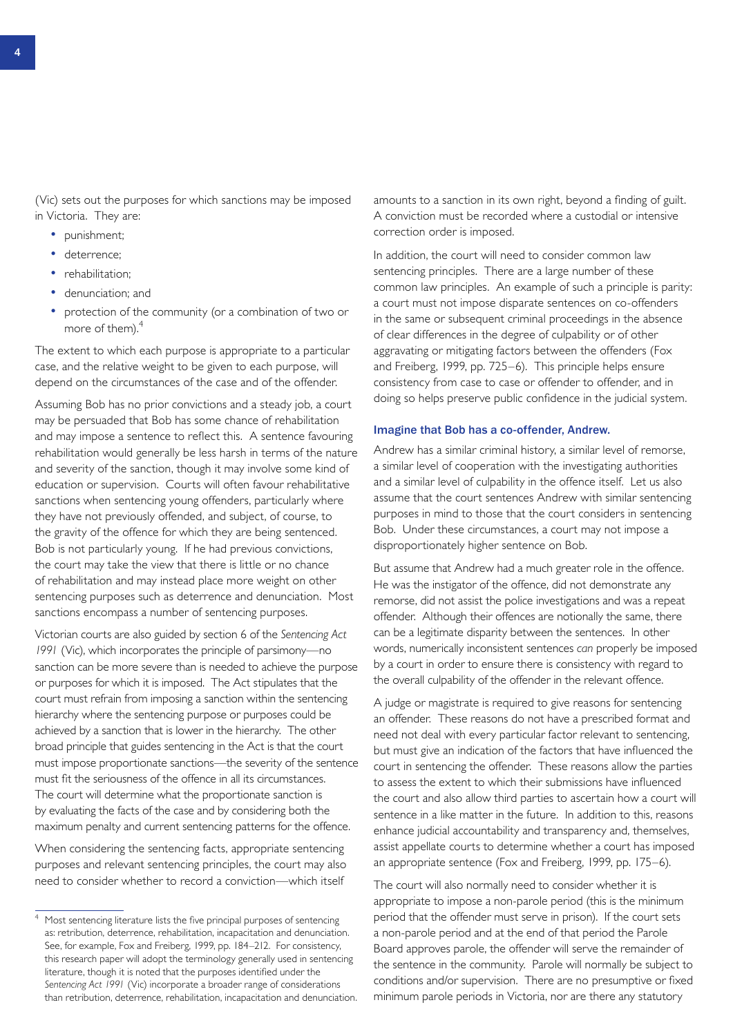(Vic) sets out the purposes for which sanctions may be imposed in Victoria. They are:

- punishment;
- deterrence;
- rehabilitation:
- denunciation; and
- protection of the community (or a combination of two or more of them).<sup>4</sup>

The extent to which each purpose is appropriate to a particular case, and the relative weight to be given to each purpose, will depend on the circumstances of the case and of the offender.

Assuming Bob has no prior convictions and a steady job, a court may be persuaded that Bob has some chance of rehabilitation and may impose a sentence to reflect this. A sentence favouring rehabilitation would generally be less harsh in terms of the nature and severity of the sanction, though it may involve some kind of education or supervision. Courts will often favour rehabilitative sanctions when sentencing young offenders, particularly where they have not previously offended, and subject, of course, to the gravity of the offence for which they are being sentenced. Bob is not particularly young. If he had previous convictions, the court may take the view that there is little or no chance of rehabilitation and may instead place more weight on other sentencing purposes such as deterrence and denunciation. Most sanctions encompass a number of sentencing purposes.

Victorian courts are also guided by section 6 of the *Sentencing Act 1991* (Vic), which incorporates the principle of parsimony—no sanction can be more severe than is needed to achieve the purpose or purposes for which it is imposed. The Act stipulates that the court must refrain from imposing a sanction within the sentencing hierarchy where the sentencing purpose or purposes could be achieved by a sanction that is lower in the hierarchy. The other broad principle that guides sentencing in the Act is that the court must impose proportionate sanctions—the severity of the sentence must fit the seriousness of the offence in all its circumstances. The court will determine what the proportionate sanction is by evaluating the facts of the case and by considering both the maximum penalty and current sentencing patterns for the offence.

When considering the sentencing facts, appropriate sentencing purposes and relevant sentencing principles, the court may also need to consider whether to record a conviction—which itself

amounts to a sanction in its own right, beyond a finding of guilt. A conviction must be recorded where a custodial or intensive correction order is imposed.

In addition, the court will need to consider common law sentencing principles. There are a large number of these common law principles. An example of such a principle is parity: a court must not impose disparate sentences on co-offenders in the same or subsequent criminal proceedings in the absence of clear differences in the degree of culpability or of other aggravating or mitigating factors between the offenders (Fox and Freiberg, 1999, pp. 725–6). This principle helps ensure consistency from case to case or offender to offender, and in doing so helps preserve public confidence in the judicial system.

#### Imagine that Bob has a co-offender, Andrew.

Andrew has a similar criminal history, a similar level of remorse, a similar level of cooperation with the investigating authorities and a similar level of culpability in the offence itself. Let us also assume that the court sentences Andrew with similar sentencing purposes in mind to those that the court considers in sentencing Bob. Under these circumstances, a court may not impose a disproportionately higher sentence on Bob.

But assume that Andrew had a much greater role in the offence. He was the instigator of the offence, did not demonstrate any remorse, did not assist the police investigations and was a repeat offender. Although their offences are notionally the same, there can be a legitimate disparity between the sentences. In other words, numerically inconsistent sentences *can* properly be imposed by a court in order to ensure there is consistency with regard to the overall culpability of the offender in the relevant offence.

A judge or magistrate is required to give reasons for sentencing an offender. These reasons do not have a prescribed format and need not deal with every particular factor relevant to sentencing, but must give an indication of the factors that have influenced the court in sentencing the offender. These reasons allow the parties to assess the extent to which their submissions have influenced the court and also allow third parties to ascertain how a court will sentence in a like matter in the future. In addition to this, reasons enhance judicial accountability and transparency and, themselves, assist appellate courts to determine whether a court has imposed an appropriate sentence (Fox and Freiberg, 1999, pp. 175–6).

The court will also normally need to consider whether it is appropriate to impose a non-parole period (this is the minimum period that the offender must serve in prison). If the court sets a non-parole period and at the end of that period the Parole Board approves parole, the offender will serve the remainder of the sentence in the community. Parole will normally be subject to conditions and/or supervision. There are no presumptive or fixed minimum parole periods in Victoria, nor are there any statutory

<sup>&</sup>lt;sup>4</sup> Most sentencing literature lists the five principal purposes of sentencing as: retribution, deterrence, rehabilitation, incapacitation and denunciation. See, for example, Fox and Freiberg, 1999, pp. 184–212. For consistency, this research paper will adopt the terminology generally used in sentencing literature, though it is noted that the purposes identified under the *Sentencing Act 1991* (Vic) incorporate a broader range of considerations than retribution, deterrence, rehabilitation, incapacitation and denunciation.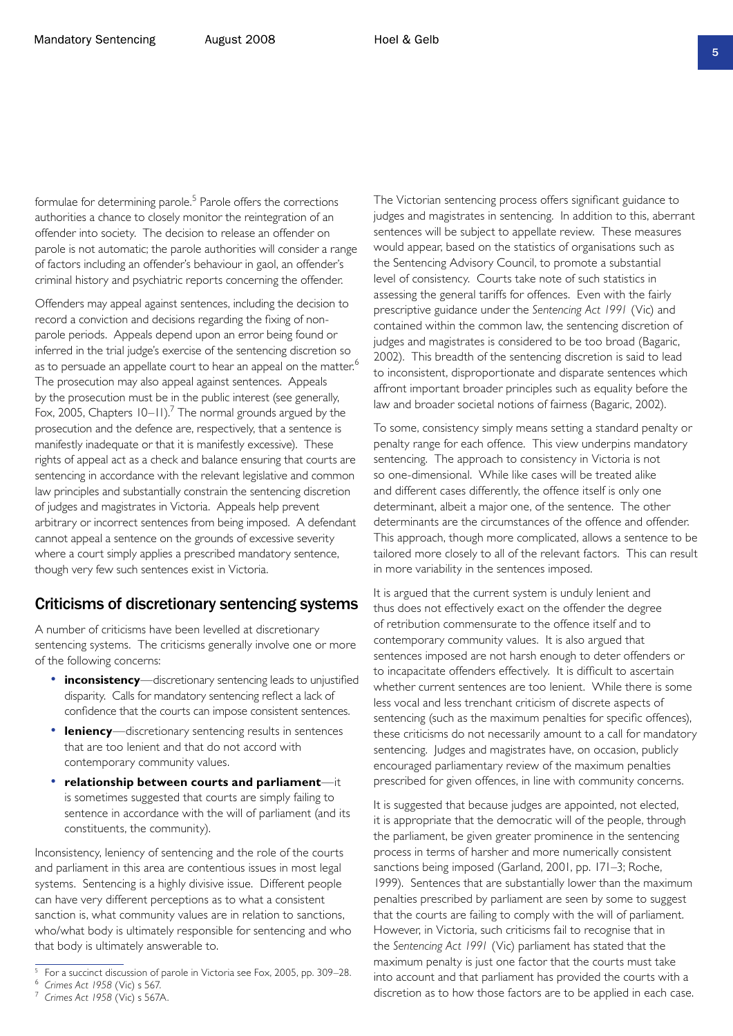formulae for determining parole.<sup>5</sup> Parole offers the corrections authorities a chance to closely monitor the reintegration of an offender into society. The decision to release an offender on parole is not automatic; the parole authorities will consider a range of factors including an offender's behaviour in gaol, an offender's criminal history and psychiatric reports concerning the offender.

Offenders may appeal against sentences, including the decision to record a conviction and decisions regarding the fixing of nonparole periods. Appeals depend upon an error being found or inferred in the trial judge's exercise of the sentencing discretion so as to persuade an appellate court to hear an appeal on the matter.<sup>6</sup> The prosecution may also appeal against sentences. Appeals by the prosecution must be in the public interest (see generally, Fox, 2005, Chapters  $10-11$ ).<sup>7</sup> The normal grounds argued by the prosecution and the defence are, respectively, that a sentence is manifestly inadequate or that it is manifestly excessive). These rights of appeal act as a check and balance ensuring that courts are sentencing in accordance with the relevant legislative and common law principles and substantially constrain the sentencing discretion of judges and magistrates in Victoria. Appeals help prevent arbitrary or incorrect sentences from being imposed. A defendant cannot appeal a sentence on the grounds of excessive severity where a court simply applies a prescribed mandatory sentence, though very few such sentences exist in Victoria.

### Criticisms of discretionary sentencing systems

A number of criticisms have been levelled at discretionary sentencing systems. The criticisms generally involve one or more of the following concerns:

- **inconsistency**—discretionary sentencing leads to unjustified disparity. Calls for mandatory sentencing reflect a lack of confidence that the courts can impose consistent sentences.
- **leniency**—discretionary sentencing results in sentences that are too lenient and that do not accord with contemporary community values.
- **relationship between courts and parliament**—it is sometimes suggested that courts are simply failing to sentence in accordance with the will of parliament (and its constituents, the community).

Inconsistency, leniency of sentencing and the role of the courts and parliament in this area are contentious issues in most legal systems. Sentencing is a highly divisive issue. Different people can have very different perceptions as to what a consistent sanction is, what community values are in relation to sanctions, who/what body is ultimately responsible for sentencing and who that body is ultimately answerable to.

The Victorian sentencing process offers significant guidance to judges and magistrates in sentencing. In addition to this, aberrant sentences will be subject to appellate review. These measures would appear, based on the statistics of organisations such as the Sentencing Advisory Council, to promote a substantial level of consistency. Courts take note of such statistics in assessing the general tariffs for offences. Even with the fairly prescriptive guidance under the *Sentencing Act 1991* (Vic) and contained within the common law, the sentencing discretion of judges and magistrates is considered to be too broad (Bagaric, 2002). This breadth of the sentencing discretion is said to lead to inconsistent, disproportionate and disparate sentences which affront important broader principles such as equality before the law and broader societal notions of fairness (Bagaric, 2002).

To some, consistency simply means setting a standard penalty or penalty range for each offence. This view underpins mandatory sentencing. The approach to consistency in Victoria is not so one-dimensional. While like cases will be treated alike and different cases differently, the offence itself is only one determinant, albeit a major one, of the sentence. The other determinants are the circumstances of the offence and offender. This approach, though more complicated, allows a sentence to be tailored more closely to all of the relevant factors. This can result in more variability in the sentences imposed.

It is argued that the current system is unduly lenient and thus does not effectively exact on the offender the degree of retribution commensurate to the offence itself and to contemporary community values. It is also argued that sentences imposed are not harsh enough to deter offenders or to incapacitate offenders effectively. It is difficult to ascertain whether current sentences are too lenient. While there is some less vocal and less trenchant criticism of discrete aspects of sentencing (such as the maximum penalties for specific offences), these criticisms do not necessarily amount to a call for mandatory sentencing. Judges and magistrates have, on occasion, publicly encouraged parliamentary review of the maximum penalties prescribed for given offences, in line with community concerns.

It is suggested that because judges are appointed, not elected, it is appropriate that the democratic will of the people, through the parliament, be given greater prominence in the sentencing process in terms of harsher and more numerically consistent sanctions being imposed (Garland, 2001, pp. 171–3; Roche, 1999). Sentences that are substantially lower than the maximum penalties prescribed by parliament are seen by some to suggest that the courts are failing to comply with the will of parliament. However, in Victoria, such criticisms fail to recognise that in the *Sentencing Act 1991* (Vic) parliament has stated that the maximum penalty is just one factor that the courts must take into account and that parliament has provided the courts with a discretion as to how those factors are to be applied in each case.

<sup>5</sup> For a succinct discussion of parole in Victoria see Fox, 2005, pp. 309–28.

<sup>6</sup> *Crimes Act 1958* (Vic) s 567.

<sup>7</sup> *Crimes Act 1958* (Vic) s 567A.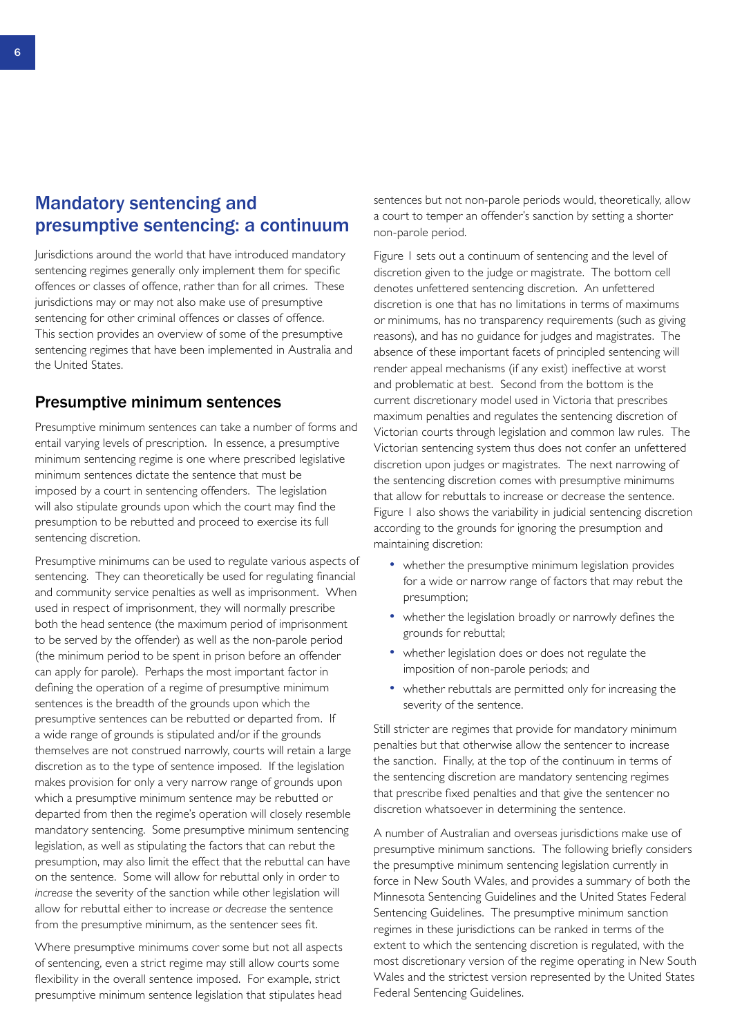### Mandatory sentencing and presumptive sentencing: a continuum

Jurisdictions around the world that have introduced mandatory sentencing regimes generally only implement them for specific offences or classes of offence, rather than for all crimes. These jurisdictions may or may not also make use of presumptive sentencing for other criminal offences or classes of offence. This section provides an overview of some of the presumptive sentencing regimes that have been implemented in Australia and the United States.

#### Presumptive minimum sentences

Presumptive minimum sentences can take a number of forms and entail varying levels of prescription. In essence, a presumptive minimum sentencing regime is one where prescribed legislative minimum sentences dictate the sentence that must be imposed by a court in sentencing offenders. The legislation will also stipulate grounds upon which the court may find the presumption to be rebutted and proceed to exercise its full sentencing discretion.

Presumptive minimums can be used to regulate various aspects of sentencing. They can theoretically be used for regulating financial and community service penalties as well as imprisonment. When used in respect of imprisonment, they will normally prescribe both the head sentence (the maximum period of imprisonment to be served by the offender) as well as the non-parole period (the minimum period to be spent in prison before an offender can apply for parole). Perhaps the most important factor in defining the operation of a regime of presumptive minimum sentences is the breadth of the grounds upon which the presumptive sentences can be rebutted or departed from. If a wide range of grounds is stipulated and/or if the grounds themselves are not construed narrowly, courts will retain a large discretion as to the type of sentence imposed. If the legislation makes provision for only a very narrow range of grounds upon which a presumptive minimum sentence may be rebutted or departed from then the regime's operation will closely resemble mandatory sentencing. Some presumptive minimum sentencing legislation, as well as stipulating the factors that can rebut the presumption, may also limit the effect that the rebuttal can have on the sentence. Some will allow for rebuttal only in order to *increase* the severity of the sanction while other legislation will allow for rebuttal either to increase *or decrease* the sentence from the presumptive minimum, as the sentencer sees fit.

Where presumptive minimums cover some but not all aspects of sentencing, even a strict regime may still allow courts some flexibility in the overall sentence imposed. For example, strict presumptive minimum sentence legislation that stipulates head

sentences but not non-parole periods would, theoretically, allow a court to temper an offender's sanction by setting a shorter non-parole period.

Figure 1 sets out a continuum of sentencing and the level of discretion given to the judge or magistrate. The bottom cell denotes unfettered sentencing discretion. An unfettered discretion is one that has no limitations in terms of maximums or minimums, has no transparency requirements (such as giving reasons), and has no guidance for judges and magistrates. The absence of these important facets of principled sentencing will render appeal mechanisms (if any exist) ineffective at worst and problematic at best. Second from the bottom is the current discretionary model used in Victoria that prescribes maximum penalties and regulates the sentencing discretion of Victorian courts through legislation and common law rules. The Victorian sentencing system thus does not confer an unfettered discretion upon judges or magistrates. The next narrowing of the sentencing discretion comes with presumptive minimums that allow for rebuttals to increase or decrease the sentence. Figure 1 also shows the variability in judicial sentencing discretion according to the grounds for ignoring the presumption and maintaining discretion:

- whether the presumptive minimum legislation provides for a wide or narrow range of factors that may rebut the presumption;
- whether the legislation broadly or narrowly defines the grounds for rebuttal;
- whether legislation does or does not regulate the imposition of non-parole periods; and
- whether rebuttals are permitted only for increasing the severity of the sentence.

Still stricter are regimes that provide for mandatory minimum penalties but that otherwise allow the sentencer to increase the sanction. Finally, at the top of the continuum in terms of the sentencing discretion are mandatory sentencing regimes that prescribe fixed penalties and that give the sentencer no discretion whatsoever in determining the sentence.

A number of Australian and overseas jurisdictions make use of presumptive minimum sanctions. The following briefly considers the presumptive minimum sentencing legislation currently in force in New South Wales, and provides a summary of both the Minnesota Sentencing Guidelines and the United States Federal Sentencing Guidelines. The presumptive minimum sanction regimes in these jurisdictions can be ranked in terms of the extent to which the sentencing discretion is regulated, with the most discretionary version of the regime operating in New South Wales and the strictest version represented by the United States Federal Sentencing Guidelines.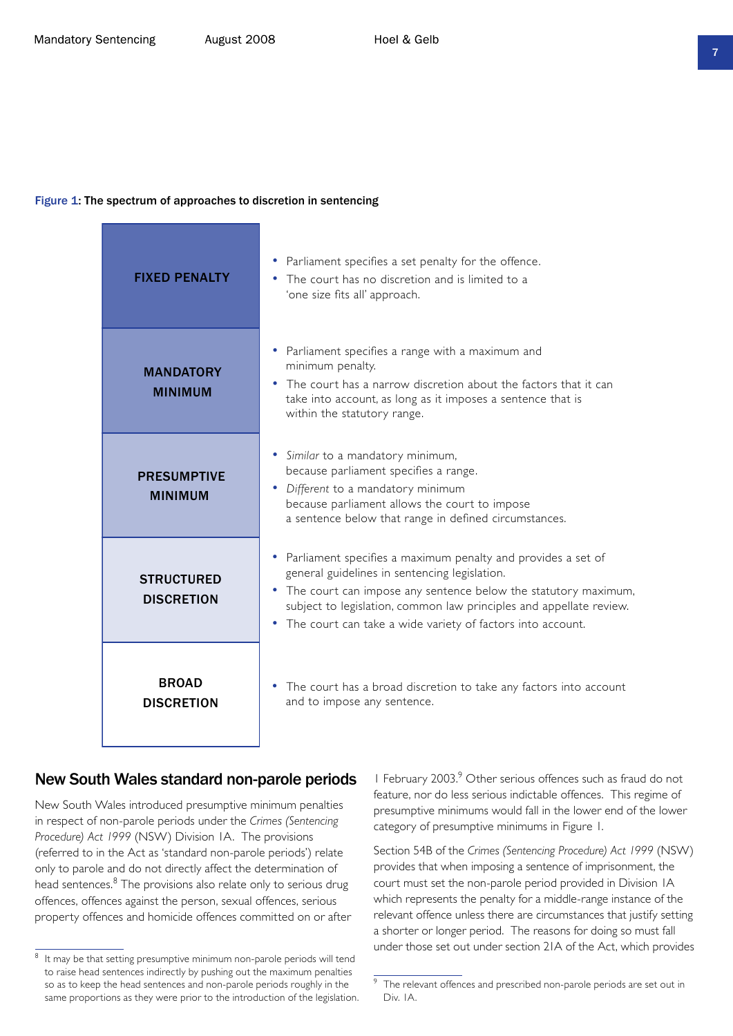#### Figure 1: The spectrum of approaches to discretion in sentencing

| <b>FIXED PENALTY</b>                   | Parliament specifies a set penalty for the offence.<br>The court has no discretion and is limited to a<br>'one size fits all' approach.                                                                                                                                                                                    |
|----------------------------------------|----------------------------------------------------------------------------------------------------------------------------------------------------------------------------------------------------------------------------------------------------------------------------------------------------------------------------|
| <b>MANDATORY</b><br><b>MINIMUM</b>     | Parliament specifies a range with a maximum and<br>minimum penalty.<br>The court has a narrow discretion about the factors that it can<br>take into account, as long as it imposes a sentence that is<br>within the statutory range.                                                                                       |
| <b>PRESUMPTIVE</b><br><b>MINIMUM</b>   | • Similar to a mandatory minimum,<br>because parliament specifies a range.<br>• Different to a mandatory minimum<br>because parliament allows the court to impose<br>a sentence below that range in defined circumstances.                                                                                                 |
| <b>STRUCTURED</b><br><b>DISCRETION</b> | • Parliament specifies a maximum penalty and provides a set of<br>general guidelines in sentencing legislation.<br>• The court can impose any sentence below the statutory maximum,<br>subject to legislation, common law principles and appellate review.<br>• The court can take a wide variety of factors into account. |
| <b>BROAD</b><br><b>DISCRETION</b>      | The court has a broad discretion to take any factors into account<br>and to impose any sentence.                                                                                                                                                                                                                           |

#### New South Wales standard non-parole periods

New South Wales introduced presumptive minimum penalties in respect of non-parole periods under the *Crimes (Sentencing Procedure) Act 1999* (NSW) Division 1A. The provisions (referred to in the Act as 'standard non-parole periods') relate only to parole and do not directly affect the determination of head sentences.<sup>8</sup> The provisions also relate only to serious drug offences, offences against the person, sexual offences, serious property offences and homicide offences committed on or after I February 2003.<sup>9</sup> Other serious offences such as fraud do not feature, nor do less serious indictable offences. This regime of presumptive minimums would fall in the lower end of the lower category of presumptive minimums in Figure 1.

Section 54B of the *Crimes (Sentencing Procedure) Act 1999* (NSW) provides that when imposing a sentence of imprisonment, the court must set the non-parole period provided in Division 1A which represents the penalty for a middle-range instance of the relevant offence unless there are circumstances that justify setting a shorter or longer period. The reasons for doing so must fall under those set out under section 21A of the Act, which provides

 $8$  It may be that setting presumptive minimum non-parole periods will tend to raise head sentences indirectly by pushing out the maximum penalties so as to keep the head sentences and non-parole periods roughly in the same proportions as they were prior to the introduction of the legislation.

 $\overline{9}$  The relevant offences and prescribed non-parole periods are set out in Div. 1A.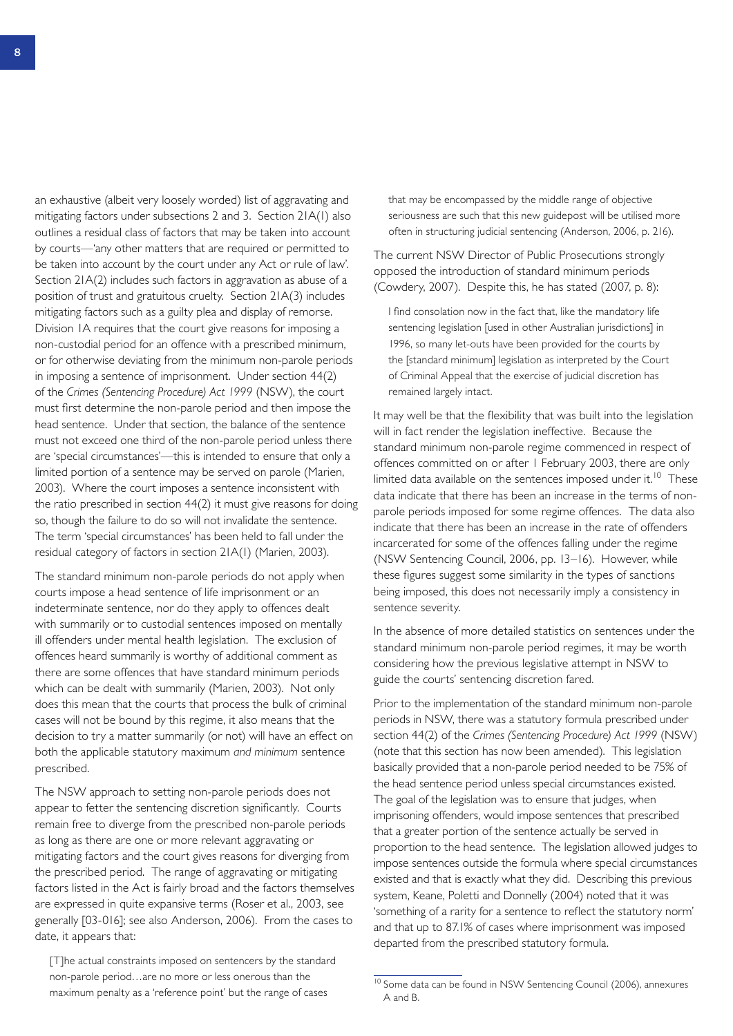an exhaustive (albeit very loosely worded) list of aggravating and mitigating factors under subsections 2 and 3. Section 21A(1) also outlines a residual class of factors that may be taken into account by courts—'any other matters that are required or permitted to be taken into account by the court under any Act or rule of law'. Section 21A(2) includes such factors in aggravation as abuse of a position of trust and gratuitous cruelty. Section 21A(3) includes mitigating factors such as a guilty plea and display of remorse. Division 1A requires that the court give reasons for imposing a non-custodial period for an offence with a prescribed minimum, or for otherwise deviating from the minimum non-parole periods in imposing a sentence of imprisonment. Under section 44(2) of the *Crimes (Sentencing Procedure) Act 1999* (NSW), the court must first determine the non-parole period and then impose the head sentence. Under that section, the balance of the sentence must not exceed one third of the non-parole period unless there are 'special circumstances'—this is intended to ensure that only a limited portion of a sentence may be served on parole (Marien, 2003). Where the court imposes a sentence inconsistent with the ratio prescribed in section 44(2) it must give reasons for doing so, though the failure to do so will not invalidate the sentence. The term 'special circumstances' has been held to fall under the residual category of factors in section 21A(1) (Marien, 2003).

The standard minimum non-parole periods do not apply when courts impose a head sentence of life imprisonment or an indeterminate sentence, nor do they apply to offences dealt with summarily or to custodial sentences imposed on mentally ill offenders under mental health legislation. The exclusion of offences heard summarily is worthy of additional comment as there are some offences that have standard minimum periods which can be dealt with summarily (Marien, 2003). Not only does this mean that the courts that process the bulk of criminal cases will not be bound by this regime, it also means that the decision to try a matter summarily (or not) will have an effect on both the applicable statutory maximum *and minimum* sentence prescribed.

The NSW approach to setting non-parole periods does not appear to fetter the sentencing discretion significantly. Courts remain free to diverge from the prescribed non-parole periods as long as there are one or more relevant aggravating or mitigating factors and the court gives reasons for diverging from the prescribed period. The range of aggravating or mitigating factors listed in the Act is fairly broad and the factors themselves are expressed in quite expansive terms (Roser et al., 2003, see generally [03-016]; see also Anderson, 2006). From the cases to date, it appears that:

[T]he actual constraints imposed on sentencers by the standard non-parole period…are no more or less onerous than the maximum penalty as a 'reference point' but the range of cases

that may be encompassed by the middle range of objective seriousness are such that this new guidepost will be utilised more often in structuring judicial sentencing (Anderson, 2006, p. 216).

The current NSW Director of Public Prosecutions strongly opposed the introduction of standard minimum periods (Cowdery, 2007). Despite this, he has stated (2007, p. 8):

I find consolation now in the fact that, like the mandatory life sentencing legislation [used in other Australian jurisdictions] in 1996, so many let-outs have been provided for the courts by the [standard minimum] legislation as interpreted by the Court of Criminal Appeal that the exercise of judicial discretion has remained largely intact.

It may well be that the flexibility that was built into the legislation will in fact render the legislation ineffective. Because the standard minimum non-parole regime commenced in respect of offences committed on or after 1 February 2003, there are only limited data available on the sentences imposed under it.<sup>10</sup> These data indicate that there has been an increase in the terms of nonparole periods imposed for some regime offences. The data also indicate that there has been an increase in the rate of offenders incarcerated for some of the offences falling under the regime (NSW Sentencing Council, 2006, pp. 13–16). However, while these figures suggest some similarity in the types of sanctions being imposed, this does not necessarily imply a consistency in sentence severity.

In the absence of more detailed statistics on sentences under the standard minimum non-parole period regimes, it may be worth considering how the previous legislative attempt in NSW to guide the courts' sentencing discretion fared.

Prior to the implementation of the standard minimum non-parole periods in NSW, there was a statutory formula prescribed under section 44(2) of the *Crimes (Sentencing Procedure) Act 1999* (NSW) (note that this section has now been amended). This legislation basically provided that a non-parole period needed to be 75% of the head sentence period unless special circumstances existed. The goal of the legislation was to ensure that judges, when imprisoning offenders, would impose sentences that prescribed that a greater portion of the sentence actually be served in proportion to the head sentence. The legislation allowed judges to impose sentences outside the formula where special circumstances existed and that is exactly what they did. Describing this previous system, Keane, Poletti and Donnelly (2004) noted that it was 'something of a rarity for a sentence to reflect the statutory norm' and that up to 87.1% of cases where imprisonment was imposed departed from the prescribed statutory formula.

<sup>&</sup>lt;sup>10</sup> Some data can be found in NSW Sentencing Council (2006), annexures A and B.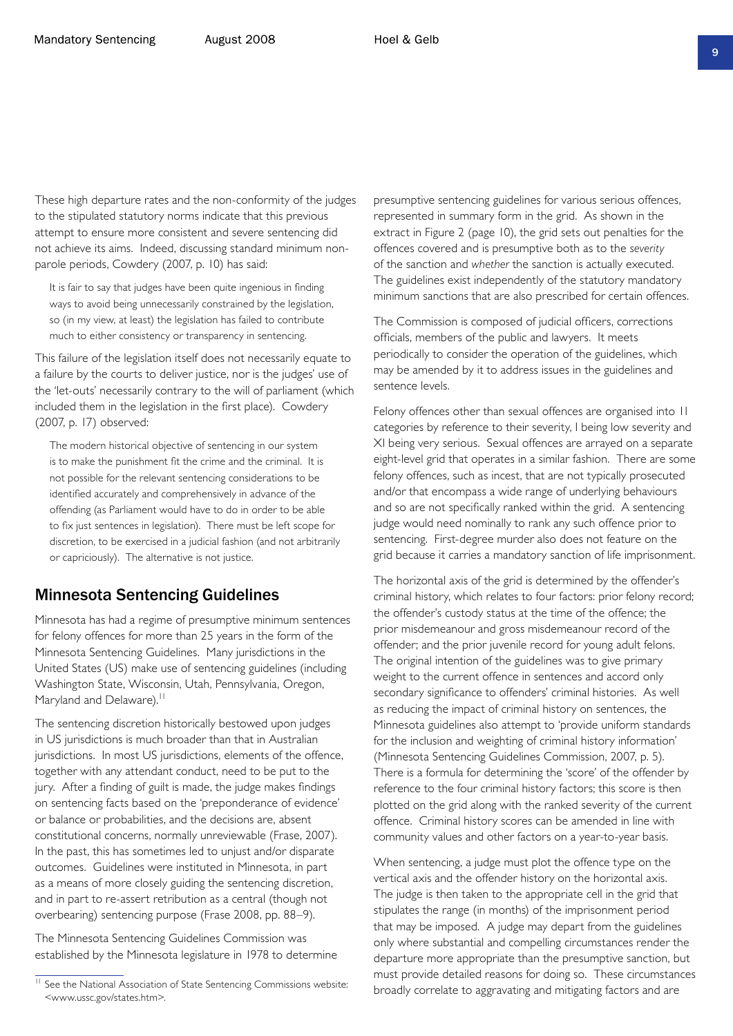These high departure rates and the non-conformity of the judges to the stipulated statutory norms indicate that this previous attempt to ensure more consistent and severe sentencing did not achieve its aims. Indeed, discussing standard minimum nonparole periods, Cowdery (2007, p. 10) has said:

It is fair to say that judges have been quite ingenious in finding ways to avoid being unnecessarily constrained by the legislation, so (in my view, at least) the legislation has failed to contribute much to either consistency or transparency in sentencing.

This failure of the legislation itself does not necessarily equate to a failure by the courts to deliver justice, nor is the judges' use of the 'let-outs' necessarily contrary to the will of parliament (which included them in the legislation in the first place). Cowdery (2007, p. 17) observed:

The modern historical objective of sentencing in our system is to make the punishment fit the crime and the criminal. It is not possible for the relevant sentencing considerations to be identified accurately and comprehensively in advance of the offending (as Parliament would have to do in order to be able to fix just sentences in legislation). There must be left scope for discretion, to be exercised in a judicial fashion (and not arbitrarily or capriciously). The alternative is not justice.

#### Minnesota Sentencing Guidelines

Minnesota has had a regime of presumptive minimum sentences for felony offences for more than 25 years in the form of the Minnesota Sentencing Guidelines. Many jurisdictions in the United States (US) make use of sentencing guidelines (including Washington State, Wisconsin, Utah, Pennsylvania, Oregon, Maryland and Delaware).<sup>11</sup>

The sentencing discretion historically bestowed upon judges in US jurisdictions is much broader than that in Australian jurisdictions. In most US jurisdictions, elements of the offence, together with any attendant conduct, need to be put to the jury. After a finding of guilt is made, the judge makes findings on sentencing facts based on the 'preponderance of evidence' or balance or probabilities, and the decisions are, absent constitutional concerns, normally unreviewable (Frase, 2007). In the past, this has sometimes led to unjust and/or disparate outcomes. Guidelines were instituted in Minnesota, in part as a means of more closely guiding the sentencing discretion, and in part to re-assert retribution as a central (though not overbearing) sentencing purpose (Frase 2008, pp. 88–9).

The Minnesota Sentencing Guidelines Commission was established by the Minnesota legislature in 1978 to determine presumptive sentencing guidelines for various serious offences, represented in summary form in the grid. As shown in the extract in Figure 2 (page 10), the grid sets out penalties for the offences covered and is presumptive both as to the *severity* of the sanction and *whether* the sanction is actually executed. The guidelines exist independently of the statutory mandatory minimum sanctions that are also prescribed for certain offences.

The Commission is composed of judicial officers, corrections officials, members of the public and lawyers. It meets periodically to consider the operation of the guidelines, which may be amended by it to address issues in the guidelines and sentence levels.

Felony offences other than sexual offences are organised into 11 categories by reference to their severity, I being low severity and XI being very serious. Sexual offences are arrayed on a separate eight-level grid that operates in a similar fashion. There are some felony offences, such as incest, that are not typically prosecuted and/or that encompass a wide range of underlying behaviours and so are not specifically ranked within the grid. A sentencing judge would need nominally to rank any such offence prior to sentencing. First-degree murder also does not feature on the grid because it carries a mandatory sanction of life imprisonment.

The horizontal axis of the grid is determined by the offender's criminal history, which relates to four factors: prior felony record; the offender's custody status at the time of the offence; the prior misdemeanour and gross misdemeanour record of the offender; and the prior juvenile record for young adult felons. The original intention of the guidelines was to give primary weight to the current offence in sentences and accord only secondary significance to offenders' criminal histories. As well as reducing the impact of criminal history on sentences, the Minnesota guidelines also attempt to 'provide uniform standards for the inclusion and weighting of criminal history information' (Minnesota Sentencing Guidelines Commission, 2007, p. 5). There is a formula for determining the 'score' of the offender by reference to the four criminal history factors; this score is then plotted on the grid along with the ranked severity of the current offence. Criminal history scores can be amended in line with community values and other factors on a year-to-year basis.

When sentencing, a judge must plot the offence type on the vertical axis and the offender history on the horizontal axis. The judge is then taken to the appropriate cell in the grid that stipulates the range (in months) of the imprisonment period that may be imposed. A judge may depart from the guidelines only where substantial and compelling circumstances render the departure more appropriate than the presumptive sanction, but must provide detailed reasons for doing so. These circumstances broadly correlate to aggravating and mitigating factors and are

<sup>&</sup>lt;sup>11</sup> See the National Association of State Sentencing Commissions website: <www.ussc.gov/states.htm>.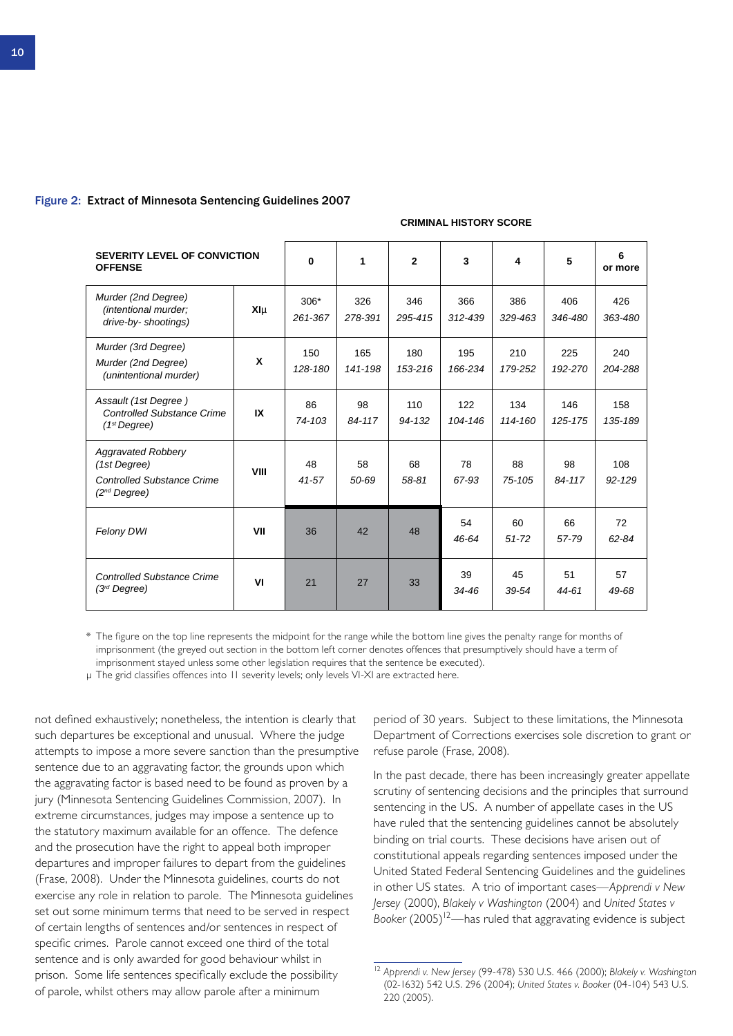#### Figure 2: Extract of Minnesota Sentencing Guidelines 2007

#### **CRIMINAL HISTORY SCORE**

| <b>SEVERITY LEVEL OF CONVICTION</b><br><b>OFFENSE</b>                                               |                | $\bf{0}$          | 1              | $\mathbf{2}$      | 3              | 4               | 5              | 6<br>or more      |
|-----------------------------------------------------------------------------------------------------|----------------|-------------------|----------------|-------------------|----------------|-----------------|----------------|-------------------|
| Murder (2nd Degree)<br>(intentional murder;<br>drive-by- shootings)                                 | XIµ            | $306*$<br>261-367 | 326<br>278-391 | 346<br>295-415    | 366<br>312-439 | 386<br>329-463  | 406<br>346-480 | 426<br>363-480    |
| Murder (3rd Degree)<br>Murder (2nd Degree)<br>(unintentional murder)                                | X              | 150<br>128-180    | 165<br>141-198 | 180<br>153-216    | 195<br>166-234 | 210<br>179-252  | 225<br>192-270 | 240<br>204-288    |
| Assault (1st Degree)<br><b>Controlled Substance Crime</b><br>(1 <sup>st</sup> Degree)               | IX             | 86<br>74-103      | 98<br>84-117   | 110<br>$94 - 132$ | 122<br>104-146 | 134<br>114-160  | 146<br>125-175 | 158<br>135-189    |
| <b>Aggravated Robbery</b><br>(1st Degree)<br><b>Controlled Substance Crime</b><br>$(2^{nd}$ Degree) | VIII           | 48<br>41-57       | 58<br>50-69    | 68<br>58-81       | 78<br>67-93    | 88<br>75-105    | 98<br>84-117   | 108<br>$92 - 129$ |
| Felony DWI                                                                                          | VII            | 36                | 42             | 48                | 54<br>46-64    | 60<br>$51 - 72$ | 66<br>57-79    | 72<br>62-84       |
| <b>Controlled Substance Crime</b><br>$(3rd$ Degree)                                                 | V <sub>l</sub> | 21                | 27             | 33                | 39<br>34-46    | 45<br>39-54     | 51<br>44-61    | 57<br>49-68       |

\* The figure on the top line represents the midpoint for the range while the bottom line gives the penalty range for months of imprisonment (the greyed out section in the bottom left corner denotes offences that presumptively should have a term of imprisonment stayed unless some other legislation requires that the sentence be executed).

µ The grid classifies offences into 11 severity levels; only levels VI-XI are extracted here.

not defined exhaustively; nonetheless, the intention is clearly that such departures be exceptional and unusual. Where the judge attempts to impose a more severe sanction than the presumptive sentence due to an aggravating factor, the grounds upon which the aggravating factor is based need to be found as proven by a jury (Minnesota Sentencing Guidelines Commission, 2007). In extreme circumstances, judges may impose a sentence up to the statutory maximum available for an offence. The defence and the prosecution have the right to appeal both improper departures and improper failures to depart from the guidelines (Frase, 2008). Under the Minnesota guidelines, courts do not exercise any role in relation to parole. The Minnesota guidelines set out some minimum terms that need to be served in respect of certain lengths of sentences and/or sentences in respect of specific crimes. Parole cannot exceed one third of the total sentence and is only awarded for good behaviour whilst in prison. Some life sentences specifically exclude the possibility of parole, whilst others may allow parole after a minimum

period of 30 years. Subject to these limitations, the Minnesota Department of Corrections exercises sole discretion to grant or refuse parole (Frase, 2008).

In the past decade, there has been increasingly greater appellate scrutiny of sentencing decisions and the principles that surround sentencing in the US. A number of appellate cases in the US have ruled that the sentencing guidelines cannot be absolutely binding on trial courts. These decisions have arisen out of constitutional appeals regarding sentences imposed under the United Stated Federal Sentencing Guidelines and the guidelines in other US states. A trio of important cases—*Apprendi v New Jersey* (2000), *Blakely v Washington* (2004) and *United States v Booker* (2005)<sup>12</sup>—has ruled that aggravating evidence is subject

<sup>12</sup> *Apprendi v. New Jersey* (99-478) 530 U.S. 466 (2000); *Blakely v. Washington* (02-1632) 542 U.S. 296 (2004); *United States v. Booker* (04-104) 543 U.S. 220 (2005).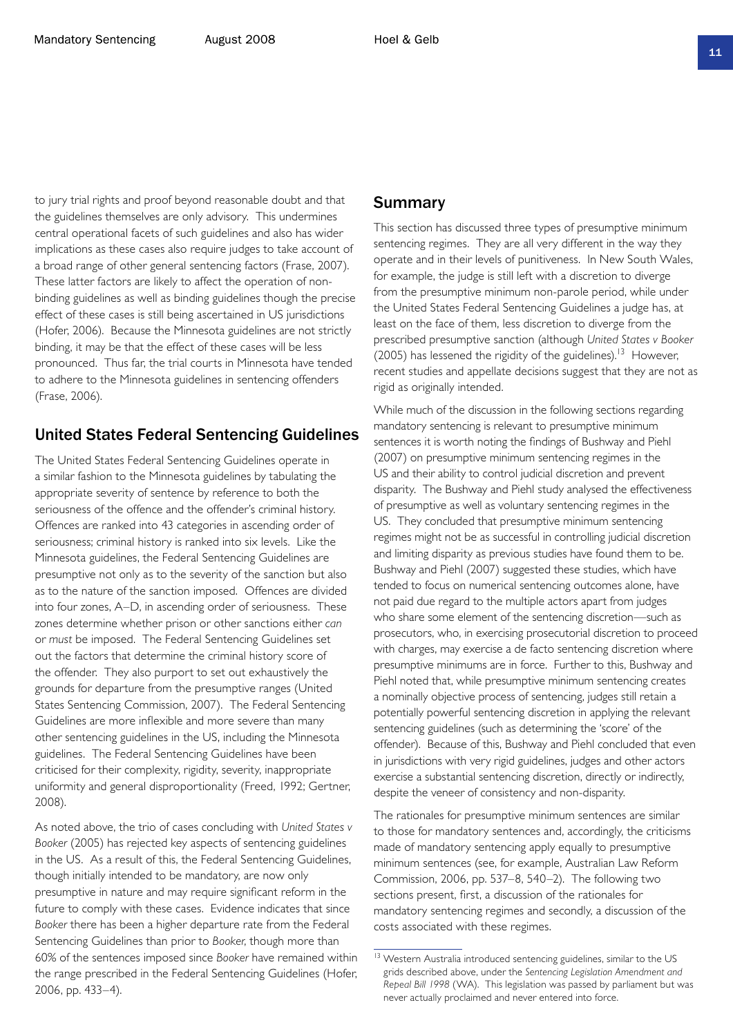to jury trial rights and proof beyond reasonable doubt and that the guidelines themselves are only advisory. This undermines central operational facets of such guidelines and also has wider implications as these cases also require judges to take account of a broad range of other general sentencing factors (Frase, 2007). These latter factors are likely to affect the operation of nonbinding guidelines as well as binding guidelines though the precise effect of these cases is still being ascertained in US jurisdictions (Hofer, 2006). Because the Minnesota guidelines are not strictly binding, it may be that the effect of these cases will be less pronounced. Thus far, the trial courts in Minnesota have tended to adhere to the Minnesota guidelines in sentencing offenders (Frase, 2006).

#### United States Federal Sentencing Guidelines

The United States Federal Sentencing Guidelines operate in a similar fashion to the Minnesota guidelines by tabulating the appropriate severity of sentence by reference to both the seriousness of the offence and the offender's criminal history. Offences are ranked into 43 categories in ascending order of seriousness; criminal history is ranked into six levels. Like the Minnesota guidelines, the Federal Sentencing Guidelines are presumptive not only as to the severity of the sanction but also as to the nature of the sanction imposed. Offences are divided into four zones, A–D, in ascending order of seriousness. These zones determine whether prison or other sanctions either *can* or *must* be imposed. The Federal Sentencing Guidelines set out the factors that determine the criminal history score of the offender. They also purport to set out exhaustively the grounds for departure from the presumptive ranges (United States Sentencing Commission, 2007). The Federal Sentencing Guidelines are more inflexible and more severe than many other sentencing guidelines in the US, including the Minnesota guidelines. The Federal Sentencing Guidelines have been criticised for their complexity, rigidity, severity, inappropriate uniformity and general disproportionality (Freed, 1992; Gertner, 2008).

As noted above, the trio of cases concluding with *United States v Booker* (2005) has rejected key aspects of sentencing guidelines in the US. As a result of this, the Federal Sentencing Guidelines, though initially intended to be mandatory, are now only presumptive in nature and may require significant reform in the future to comply with these cases. Evidence indicates that since *Booker* there has been a higher departure rate from the Federal Sentencing Guidelines than prior to *Booker*, though more than 60% of the sentences imposed since *Booker* have remained within the range prescribed in the Federal Sentencing Guidelines (Hofer, 2006, pp. 433–4).

#### Summary

This section has discussed three types of presumptive minimum sentencing regimes. They are all very different in the way they operate and in their levels of punitiveness. In New South Wales, for example, the judge is still left with a discretion to diverge from the presumptive minimum non-parole period, while under the United States Federal Sentencing Guidelines a judge has, at least on the face of them, less discretion to diverge from the prescribed presumptive sanction (although *United States v Booker* (2005) has lessened the rigidity of the guidelines).<sup>13</sup> However, recent studies and appellate decisions suggest that they are not as rigid as originally intended.

While much of the discussion in the following sections regarding mandatory sentencing is relevant to presumptive minimum sentences it is worth noting the findings of Bushway and Piehl (2007) on presumptive minimum sentencing regimes in the US and their ability to control judicial discretion and prevent disparity. The Bushway and Piehl study analysed the effectiveness of presumptive as well as voluntary sentencing regimes in the US. They concluded that presumptive minimum sentencing regimes might not be as successful in controlling judicial discretion and limiting disparity as previous studies have found them to be. Bushway and Piehl (2007) suggested these studies, which have tended to focus on numerical sentencing outcomes alone, have not paid due regard to the multiple actors apart from judges who share some element of the sentencing discretion—such as prosecutors, who, in exercising prosecutorial discretion to proceed with charges, may exercise a de facto sentencing discretion where presumptive minimums are in force. Further to this, Bushway and Piehl noted that, while presumptive minimum sentencing creates a nominally objective process of sentencing, judges still retain a potentially powerful sentencing discretion in applying the relevant sentencing guidelines (such as determining the 'score' of the offender). Because of this, Bushway and Piehl concluded that even in jurisdictions with very rigid guidelines, judges and other actors exercise a substantial sentencing discretion, directly or indirectly, despite the veneer of consistency and non-disparity.

The rationales for presumptive minimum sentences are similar to those for mandatory sentences and, accordingly, the criticisms made of mandatory sentencing apply equally to presumptive minimum sentences (see, for example, Australian Law Reform Commission, 2006, pp. 537–8, 540–2). The following two sections present, first, a discussion of the rationales for mandatory sentencing regimes and secondly, a discussion of the costs associated with these regimes.

<sup>&</sup>lt;sup>13</sup> Western Australia introduced sentencing guidelines, similar to the US grids described above, under the *Sentencing Legislation Amendment and Repeal Bill 1998* (WA). This legislation was passed by parliament but was never actually proclaimed and never entered into force.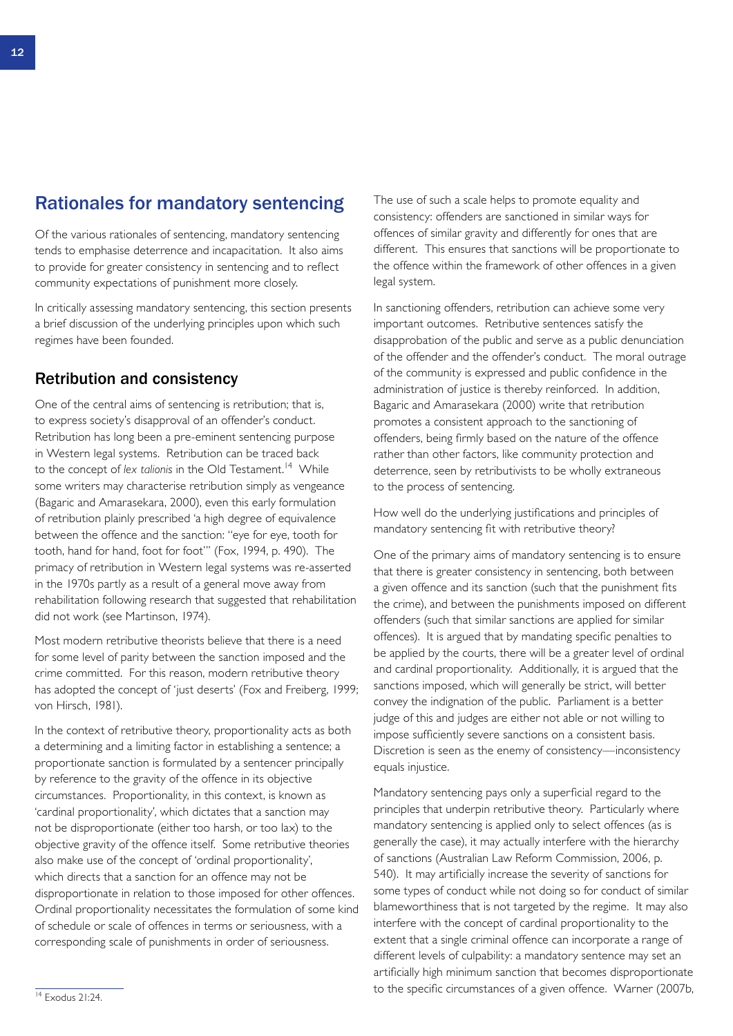### Rationales for mandatory sentencing

Of the various rationales of sentencing, mandatory sentencing tends to emphasise deterrence and incapacitation. It also aims to provide for greater consistency in sentencing and to reflect community expectations of punishment more closely.

In critically assessing mandatory sentencing, this section presents a brief discussion of the underlying principles upon which such regimes have been founded.

### Retribution and consistency

One of the central aims of sentencing is retribution; that is, to express society's disapproval of an offender's conduct. Retribution has long been a pre-eminent sentencing purpose in Western legal systems. Retribution can be traced back to the concept of *lex talionis* in the Old Testament.<sup>14</sup> While some writers may characterise retribution simply as vengeance (Bagaric and Amarasekara, 2000), even this early formulation of retribution plainly prescribed 'a high degree of equivalence between the offence and the sanction: "eye for eye, tooth for tooth, hand for hand, foot for foot"' (Fox, 1994, p. 490). The primacy of retribution in Western legal systems was re-asserted in the 1970s partly as a result of a general move away from rehabilitation following research that suggested that rehabilitation did not work (see Martinson, 1974).

Most modern retributive theorists believe that there is a need for some level of parity between the sanction imposed and the crime committed. For this reason, modern retributive theory has adopted the concept of 'just deserts' (Fox and Freiberg, 1999; von Hirsch, 1981).

In the context of retributive theory, proportionality acts as both a determining and a limiting factor in establishing a sentence; a proportionate sanction is formulated by a sentencer principally by reference to the gravity of the offence in its objective circumstances. Proportionality, in this context, is known as 'cardinal proportionality', which dictates that a sanction may not be disproportionate (either too harsh, or too lax) to the objective gravity of the offence itself. Some retributive theories also make use of the concept of 'ordinal proportionality', which directs that a sanction for an offence may not be disproportionate in relation to those imposed for other offences. Ordinal proportionality necessitates the formulation of some kind of schedule or scale of offences in terms or seriousness, with a corresponding scale of punishments in order of seriousness.

The use of such a scale helps to promote equality and consistency: offenders are sanctioned in similar ways for offences of similar gravity and differently for ones that are different. This ensures that sanctions will be proportionate to the offence within the framework of other offences in a given legal system.

In sanctioning offenders, retribution can achieve some very important outcomes. Retributive sentences satisfy the disapprobation of the public and serve as a public denunciation of the offender and the offender's conduct. The moral outrage of the community is expressed and public confidence in the administration of justice is thereby reinforced. In addition, Bagaric and Amarasekara (2000) write that retribution promotes a consistent approach to the sanctioning of offenders, being firmly based on the nature of the offence rather than other factors, like community protection and deterrence, seen by retributivists to be wholly extraneous to the process of sentencing.

How well do the underlying justifications and principles of mandatory sentencing fit with retributive theory?

One of the primary aims of mandatory sentencing is to ensure that there is greater consistency in sentencing, both between a given offence and its sanction (such that the punishment fits the crime), and between the punishments imposed on different offenders (such that similar sanctions are applied for similar offences). It is argued that by mandating specific penalties to be applied by the courts, there will be a greater level of ordinal and cardinal proportionality. Additionally, it is argued that the sanctions imposed, which will generally be strict, will better convey the indignation of the public. Parliament is a better judge of this and judges are either not able or not willing to impose sufficiently severe sanctions on a consistent basis. Discretion is seen as the enemy of consistency—inconsistency equals injustice.

Mandatory sentencing pays only a superficial regard to the principles that underpin retributive theory. Particularly where mandatory sentencing is applied only to select offences (as is generally the case), it may actually interfere with the hierarchy of sanctions (Australian Law Reform Commission, 2006, p. 540). It may artificially increase the severity of sanctions for some types of conduct while not doing so for conduct of similar blameworthiness that is not targeted by the regime. It may also interfere with the concept of cardinal proportionality to the extent that a single criminal offence can incorporate a range of different levels of culpability: a mandatory sentence may set an artificially high minimum sanction that becomes disproportionate to the specific circumstances of a given offence. Warner (2007b,

<sup>14</sup> Exodus 21:24.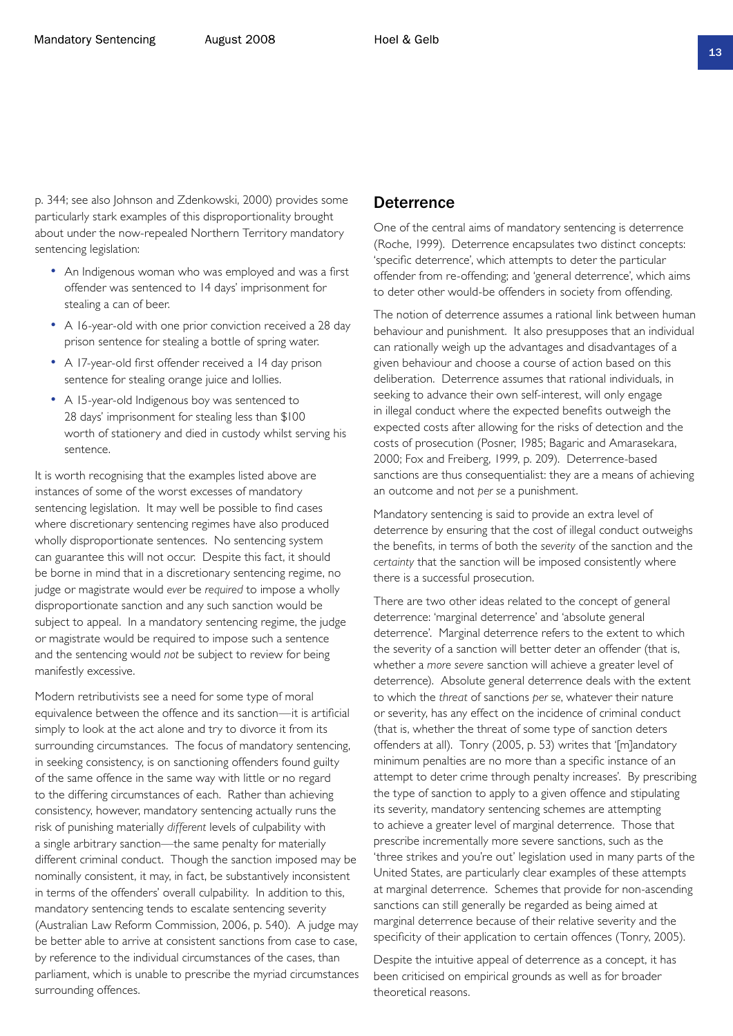p. 344; see also Johnson and Zdenkowski, 2000) provides some particularly stark examples of this disproportionality brought about under the now-repealed Northern Territory mandatory sentencing legislation:

- An Indigenous woman who was employed and was a first offender was sentenced to 14 days' imprisonment for stealing a can of beer.
- A 16-year-old with one prior conviction received a 28 day prison sentence for stealing a bottle of spring water.
- A 17-year-old first offender received a 14 day prison sentence for stealing orange juice and lollies.
- A 15-year-old Indigenous boy was sentenced to 28 days' imprisonment for stealing less than \$100 worth of stationery and died in custody whilst serving his sentence.

It is worth recognising that the examples listed above are instances of some of the worst excesses of mandatory sentencing legislation. It may well be possible to find cases where discretionary sentencing regimes have also produced wholly disproportionate sentences. No sentencing system can guarantee this will not occur. Despite this fact, it should be borne in mind that in a discretionary sentencing regime, no judge or magistrate would *ever* be *required* to impose a wholly disproportionate sanction and any such sanction would be subject to appeal. In a mandatory sentencing regime, the judge or magistrate would be required to impose such a sentence and the sentencing would *not* be subject to review for being manifestly excessive.

Modern retributivists see a need for some type of moral equivalence between the offence and its sanction—it is artificial simply to look at the act alone and try to divorce it from its surrounding circumstances. The focus of mandatory sentencing, in seeking consistency, is on sanctioning offenders found guilty of the same offence in the same way with little or no regard to the differing circumstances of each. Rather than achieving consistency, however, mandatory sentencing actually runs the risk of punishing materially *different* levels of culpability with a single arbitrary sanction—the same penalty for materially different criminal conduct. Though the sanction imposed may be nominally consistent, it may, in fact, be substantively inconsistent in terms of the offenders' overall culpability. In addition to this, mandatory sentencing tends to escalate sentencing severity (Australian Law Reform Commission, 2006, p. 540). A judge may be better able to arrive at consistent sanctions from case to case, by reference to the individual circumstances of the cases, than parliament, which is unable to prescribe the myriad circumstances surrounding offences.

#### **Deterrence**

One of the central aims of mandatory sentencing is deterrence (Roche, 1999). Deterrence encapsulates two distinct concepts: 'specific deterrence', which attempts to deter the particular offender from re-offending; and 'general deterrence', which aims to deter other would-be offenders in society from offending.

The notion of deterrence assumes a rational link between human behaviour and punishment. It also presupposes that an individual can rationally weigh up the advantages and disadvantages of a given behaviour and choose a course of action based on this deliberation. Deterrence assumes that rational individuals, in seeking to advance their own self-interest, will only engage in illegal conduct where the expected benefits outweigh the expected costs after allowing for the risks of detection and the costs of prosecution (Posner, 1985; Bagaric and Amarasekara, 2000; Fox and Freiberg, 1999, p. 209). Deterrence-based sanctions are thus consequentialist: they are a means of achieving an outcome and not *per se* a punishment.

Mandatory sentencing is said to provide an extra level of deterrence by ensuring that the cost of illegal conduct outweighs the benefits, in terms of both the *severity* of the sanction and the *certainty* that the sanction will be imposed consistently where there is a successful prosecution.

There are two other ideas related to the concept of general deterrence: 'marginal deterrence' and 'absolute general deterrence'. Marginal deterrence refers to the extent to which the severity of a sanction will better deter an offender (that is, whether a *more severe* sanction will achieve a greater level of deterrence). Absolute general deterrence deals with the extent to which the *threat* of sanctions *per se*, whatever their nature or severity, has any effect on the incidence of criminal conduct (that is, whether the threat of some type of sanction deters offenders at all). Tonry (2005, p. 53) writes that '[m]andatory minimum penalties are no more than a specific instance of an attempt to deter crime through penalty increases'. By prescribing the type of sanction to apply to a given offence and stipulating its severity, mandatory sentencing schemes are attempting to achieve a greater level of marginal deterrence. Those that prescribe incrementally more severe sanctions, such as the 'three strikes and you're out' legislation used in many parts of the United States, are particularly clear examples of these attempts at marginal deterrence. Schemes that provide for non-ascending sanctions can still generally be regarded as being aimed at marginal deterrence because of their relative severity and the specificity of their application to certain offences (Tonry, 2005).

Despite the intuitive appeal of deterrence as a concept, it has been criticised on empirical grounds as well as for broader theoretical reasons.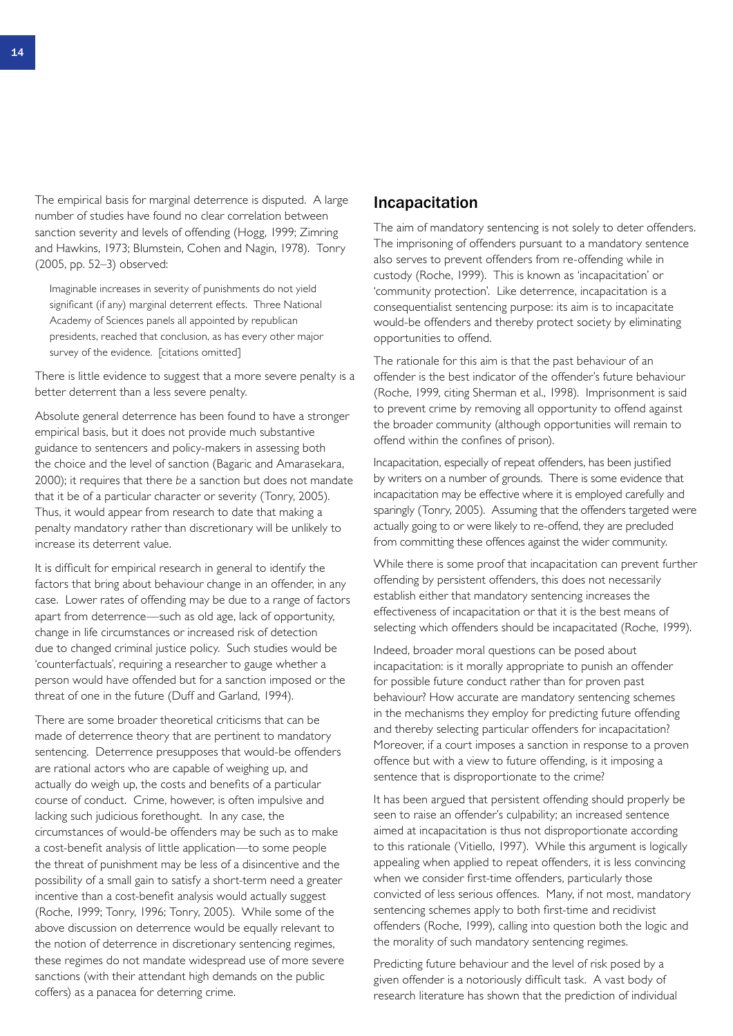The empirical basis for marginal deterrence is disputed. A large number of studies have found no clear correlation between sanction severity and levels of offending (Hogg, 1999; Zimring and Hawkins, 1973; Blumstein, Cohen and Nagin, 1978). Tonry (2005, pp. 52–3) observed:

Imaginable increases in severity of punishments do not yield significant (if any) marginal deterrent effects. Three National Academy of Sciences panels all appointed by republican presidents, reached that conclusion, as has every other major survey of the evidence. [citations omitted]

There is little evidence to suggest that a more severe penalty is a better deterrent than a less severe penalty.

Absolute general deterrence has been found to have a stronger empirical basis, but it does not provide much substantive guidance to sentencers and policy-makers in assessing both the choice and the level of sanction (Bagaric and Amarasekara, 2000); it requires that there *be* a sanction but does not mandate that it be of a particular character or severity (Tonry, 2005). Thus, it would appear from research to date that making a penalty mandatory rather than discretionary will be unlikely to increase its deterrent value.

It is difficult for empirical research in general to identify the factors that bring about behaviour change in an offender, in any case. Lower rates of offending may be due to a range of factors apart from deterrence—such as old age, lack of opportunity, change in life circumstances or increased risk of detection due to changed criminal justice policy. Such studies would be 'counterfactuals', requiring a researcher to gauge whether a person would have offended but for a sanction imposed or the threat of one in the future (Duff and Garland, 1994).

There are some broader theoretical criticisms that can be made of deterrence theory that are pertinent to mandatory sentencing. Deterrence presupposes that would-be offenders are rational actors who are capable of weighing up, and actually do weigh up, the costs and benefits of a particular course of conduct. Crime, however, is often impulsive and lacking such judicious forethought. In any case, the circumstances of would-be offenders may be such as to make a cost-benefit analysis of little application—to some people the threat of punishment may be less of a disincentive and the possibility of a small gain to satisfy a short-term need a greater incentive than a cost-benefit analysis would actually suggest (Roche, 1999; Tonry, 1996; Tonry, 2005). While some of the above discussion on deterrence would be equally relevant to the notion of deterrence in discretionary sentencing regimes, these regimes do not mandate widespread use of more severe sanctions (with their attendant high demands on the public coffers) as a panacea for deterring crime.

#### Incapacitation

The aim of mandatory sentencing is not solely to deter offenders. The imprisoning of offenders pursuant to a mandatory sentence also serves to prevent offenders from re-offending while in custody (Roche, 1999). This is known as 'incapacitation' or 'community protection'. Like deterrence, incapacitation is a consequentialist sentencing purpose: its aim is to incapacitate would-be offenders and thereby protect society by eliminating opportunities to offend.

The rationale for this aim is that the past behaviour of an offender is the best indicator of the offender's future behaviour (Roche, 1999, citing Sherman et al., 1998). Imprisonment is said to prevent crime by removing all opportunity to offend against the broader community (although opportunities will remain to offend within the confines of prison).

Incapacitation, especially of repeat offenders, has been justified by writers on a number of grounds. There is some evidence that incapacitation may be effective where it is employed carefully and sparingly (Tonry, 2005). Assuming that the offenders targeted were actually going to or were likely to re-offend, they are precluded from committing these offences against the wider community.

While there is some proof that incapacitation can prevent further offending by persistent offenders, this does not necessarily establish either that mandatory sentencing increases the effectiveness of incapacitation or that it is the best means of selecting which offenders should be incapacitated (Roche, 1999).

Indeed, broader moral questions can be posed about incapacitation: is it morally appropriate to punish an offender for possible future conduct rather than for proven past behaviour? How accurate are mandatory sentencing schemes in the mechanisms they employ for predicting future offending and thereby selecting particular offenders for incapacitation? Moreover, if a court imposes a sanction in response to a proven offence but with a view to future offending, is it imposing a sentence that is disproportionate to the crime?

It has been argued that persistent offending should properly be seen to raise an offender's culpability; an increased sentence aimed at incapacitation is thus not disproportionate according to this rationale (Vitiello, 1997). While this argument is logically appealing when applied to repeat offenders, it is less convincing when we consider first-time offenders, particularly those convicted of less serious offences. Many, if not most, mandatory sentencing schemes apply to both first-time and recidivist offenders (Roche, 1999), calling into question both the logic and the morality of such mandatory sentencing regimes.

Predicting future behaviour and the level of risk posed by a given offender is a notoriously difficult task. A vast body of research literature has shown that the prediction of individual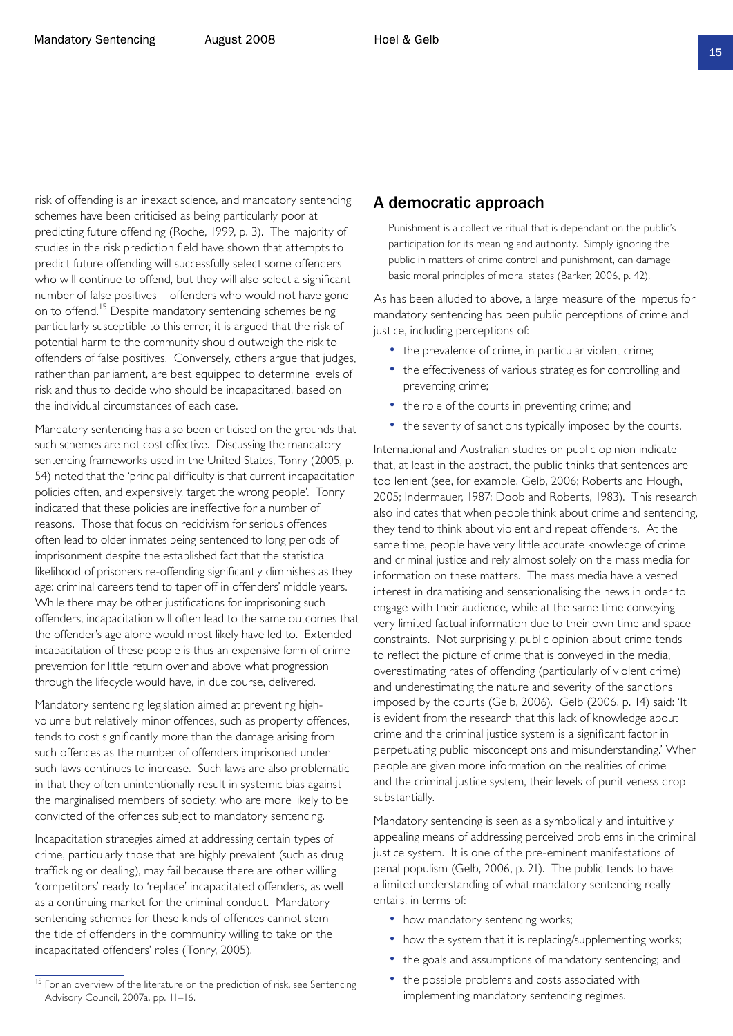risk of offending is an inexact science, and mandatory sentencing schemes have been criticised as being particularly poor at predicting future offending (Roche, 1999, p. 3). The majority of studies in the risk prediction field have shown that attempts to predict future offending will successfully select some offenders who will continue to offend, but they will also select a significant number of false positives—offenders who would not have gone on to offend.<sup>15</sup> Despite mandatory sentencing schemes being particularly susceptible to this error, it is argued that the risk of potential harm to the community should outweigh the risk to offenders of false positives. Conversely, others argue that judges, rather than parliament, are best equipped to determine levels of risk and thus to decide who should be incapacitated, based on the individual circumstances of each case.

Mandatory sentencing has also been criticised on the grounds that such schemes are not cost effective. Discussing the mandatory sentencing frameworks used in the United States, Tonry (2005, p. 54) noted that the 'principal difficulty is that current incapacitation policies often, and expensively, target the wrong people'. Tonry indicated that these policies are ineffective for a number of reasons. Those that focus on recidivism for serious offences often lead to older inmates being sentenced to long periods of imprisonment despite the established fact that the statistical likelihood of prisoners re-offending significantly diminishes as they age: criminal careers tend to taper off in offenders' middle years. While there may be other justifications for imprisoning such offenders, incapacitation will often lead to the same outcomes that the offender's age alone would most likely have led to. Extended incapacitation of these people is thus an expensive form of crime prevention for little return over and above what progression through the lifecycle would have, in due course, delivered.

Mandatory sentencing legislation aimed at preventing highvolume but relatively minor offences, such as property offences, tends to cost significantly more than the damage arising from such offences as the number of offenders imprisoned under such laws continues to increase. Such laws are also problematic in that they often unintentionally result in systemic bias against the marginalised members of society, who are more likely to be convicted of the offences subject to mandatory sentencing.

Incapacitation strategies aimed at addressing certain types of crime, particularly those that are highly prevalent (such as drug trafficking or dealing), may fail because there are other willing 'competitors' ready to 'replace' incapacitated offenders, as well as a continuing market for the criminal conduct. Mandatory sentencing schemes for these kinds of offences cannot stem the tide of offenders in the community willing to take on the incapacitated offenders' roles (Tonry, 2005).

#### A democratic approach

Punishment is a collective ritual that is dependant on the public's participation for its meaning and authority. Simply ignoring the public in matters of crime control and punishment, can damage basic moral principles of moral states (Barker, 2006, p. 42).

As has been alluded to above, a large measure of the impetus for mandatory sentencing has been public perceptions of crime and justice, including perceptions of:

- the prevalence of crime, in particular violent crime;
- the effectiveness of various strategies for controlling and preventing crime;
- the role of the courts in preventing crime; and
- the severity of sanctions typically imposed by the courts.

International and Australian studies on public opinion indicate that, at least in the abstract, the public thinks that sentences are too lenient (see, for example, Gelb, 2006; Roberts and Hough, 2005; Indermauer, 1987; Doob and Roberts, 1983). This research also indicates that when people think about crime and sentencing, they tend to think about violent and repeat offenders. At the same time, people have very little accurate knowledge of crime and criminal justice and rely almost solely on the mass media for information on these matters. The mass media have a vested interest in dramatising and sensationalising the news in order to engage with their audience, while at the same time conveying very limited factual information due to their own time and space constraints. Not surprisingly, public opinion about crime tends to reflect the picture of crime that is conveyed in the media, overestimating rates of offending (particularly of violent crime) and underestimating the nature and severity of the sanctions imposed by the courts (Gelb, 2006). Gelb (2006, p. 14) said: 'It is evident from the research that this lack of knowledge about crime and the criminal justice system is a significant factor in perpetuating public misconceptions and misunderstanding.' When people are given more information on the realities of crime and the criminal justice system, their levels of punitiveness drop substantially.

Mandatory sentencing is seen as a symbolically and intuitively appealing means of addressing perceived problems in the criminal justice system. It is one of the pre-eminent manifestations of penal populism (Gelb, 2006, p. 21). The public tends to have a limited understanding of what mandatory sentencing really entails, in terms of:

- how mandatory sentencing works;
- how the system that it is replacing/supplementing works;
- the goals and assumptions of mandatory sentencing; and
- the possible problems and costs associated with implementing mandatory sentencing regimes.

<sup>&</sup>lt;sup>15</sup> For an overview of the literature on the prediction of risk, see Sentencing Advisory Council, 2007a, pp. 11–16.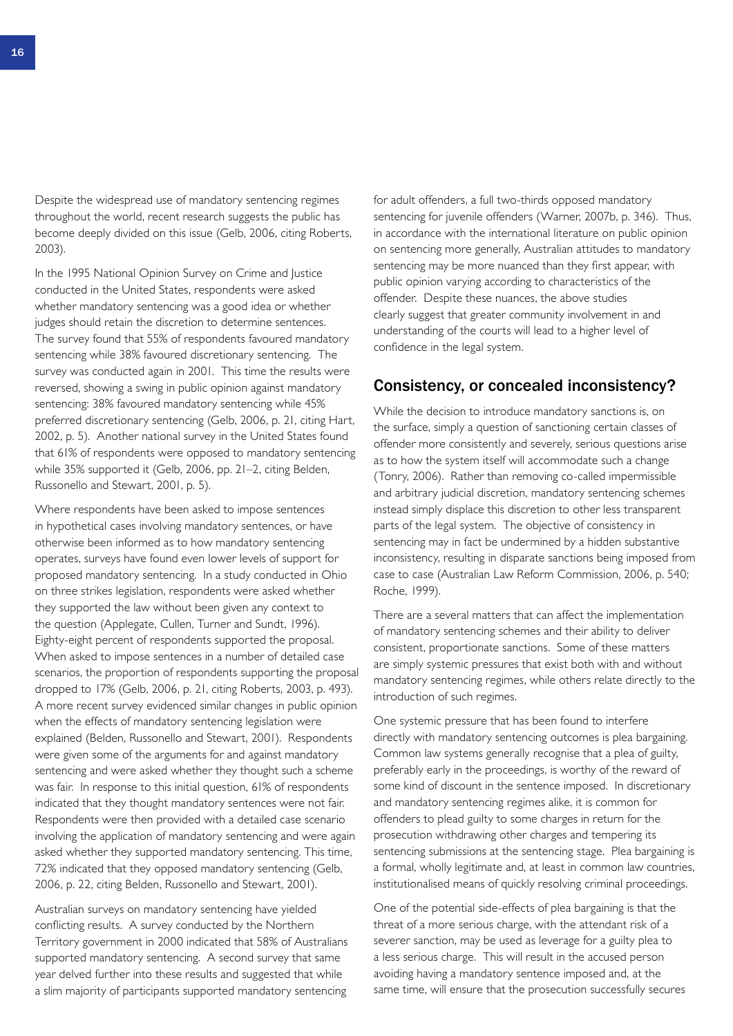Despite the widespread use of mandatory sentencing regimes throughout the world, recent research suggests the public has become deeply divided on this issue (Gelb, 2006, citing Roberts, 2003).

In the 1995 National Opinion Survey on Crime and Justice conducted in the United States, respondents were asked whether mandatory sentencing was a good idea or whether judges should retain the discretion to determine sentences. The survey found that 55% of respondents favoured mandatory sentencing while 38% favoured discretionary sentencing. The survey was conducted again in 2001. This time the results were reversed, showing a swing in public opinion against mandatory sentencing: 38% favoured mandatory sentencing while 45% preferred discretionary sentencing (Gelb, 2006, p. 21, citing Hart, 2002, p. 5). Another national survey in the United States found that 61% of respondents were opposed to mandatory sentencing while 35% supported it (Gelb, 2006, pp. 21–2, citing Belden, Russonello and Stewart, 2001, p. 5).

Where respondents have been asked to impose sentences in hypothetical cases involving mandatory sentences, or have otherwise been informed as to how mandatory sentencing operates, surveys have found even lower levels of support for proposed mandatory sentencing. In a study conducted in Ohio on three strikes legislation, respondents were asked whether they supported the law without been given any context to the question (Applegate, Cullen, Turner and Sundt, 1996). Eighty-eight percent of respondents supported the proposal. When asked to impose sentences in a number of detailed case scenarios, the proportion of respondents supporting the proposal dropped to 17% (Gelb, 2006, p. 21, citing Roberts, 2003, p. 493). A more recent survey evidenced similar changes in public opinion when the effects of mandatory sentencing legislation were explained (Belden, Russonello and Stewart, 2001). Respondents were given some of the arguments for and against mandatory sentencing and were asked whether they thought such a scheme was fair. In response to this initial question, 61% of respondents indicated that they thought mandatory sentences were not fair. Respondents were then provided with a detailed case scenario involving the application of mandatory sentencing and were again asked whether they supported mandatory sentencing. This time, 72% indicated that they opposed mandatory sentencing (Gelb, 2006, p. 22, citing Belden, Russonello and Stewart, 2001).

Australian surveys on mandatory sentencing have yielded conflicting results. A survey conducted by the Northern Territory government in 2000 indicated that 58% of Australians supported mandatory sentencing. A second survey that same year delved further into these results and suggested that while a slim majority of participants supported mandatory sentencing

for adult offenders, a full two-thirds opposed mandatory sentencing for juvenile offenders (Warner, 2007b, p. 346). Thus, in accordance with the international literature on public opinion on sentencing more generally, Australian attitudes to mandatory sentencing may be more nuanced than they first appear, with public opinion varying according to characteristics of the offender. Despite these nuances, the above studies clearly suggest that greater community involvement in and understanding of the courts will lead to a higher level of confidence in the legal system.

#### Consistency, or concealed inconsistency?

While the decision to introduce mandatory sanctions is, on the surface, simply a question of sanctioning certain classes of offender more consistently and severely, serious questions arise as to how the system itself will accommodate such a change (Tonry, 2006). Rather than removing co-called impermissible and arbitrary judicial discretion, mandatory sentencing schemes instead simply displace this discretion to other less transparent parts of the legal system. The objective of consistency in sentencing may in fact be undermined by a hidden substantive inconsistency, resulting in disparate sanctions being imposed from case to case (Australian Law Reform Commission, 2006, p. 540; Roche, 1999).

There are a several matters that can affect the implementation of mandatory sentencing schemes and their ability to deliver consistent, proportionate sanctions. Some of these matters are simply systemic pressures that exist both with and without mandatory sentencing regimes, while others relate directly to the introduction of such regimes.

One systemic pressure that has been found to interfere directly with mandatory sentencing outcomes is plea bargaining. Common law systems generally recognise that a plea of guilty, preferably early in the proceedings, is worthy of the reward of some kind of discount in the sentence imposed. In discretionary and mandatory sentencing regimes alike, it is common for offenders to plead guilty to some charges in return for the prosecution withdrawing other charges and tempering its sentencing submissions at the sentencing stage. Plea bargaining is a formal, wholly legitimate and, at least in common law countries, institutionalised means of quickly resolving criminal proceedings.

One of the potential side-effects of plea bargaining is that the threat of a more serious charge, with the attendant risk of a severer sanction, may be used as leverage for a guilty plea to a less serious charge. This will result in the accused person avoiding having a mandatory sentence imposed and, at the same time, will ensure that the prosecution successfully secures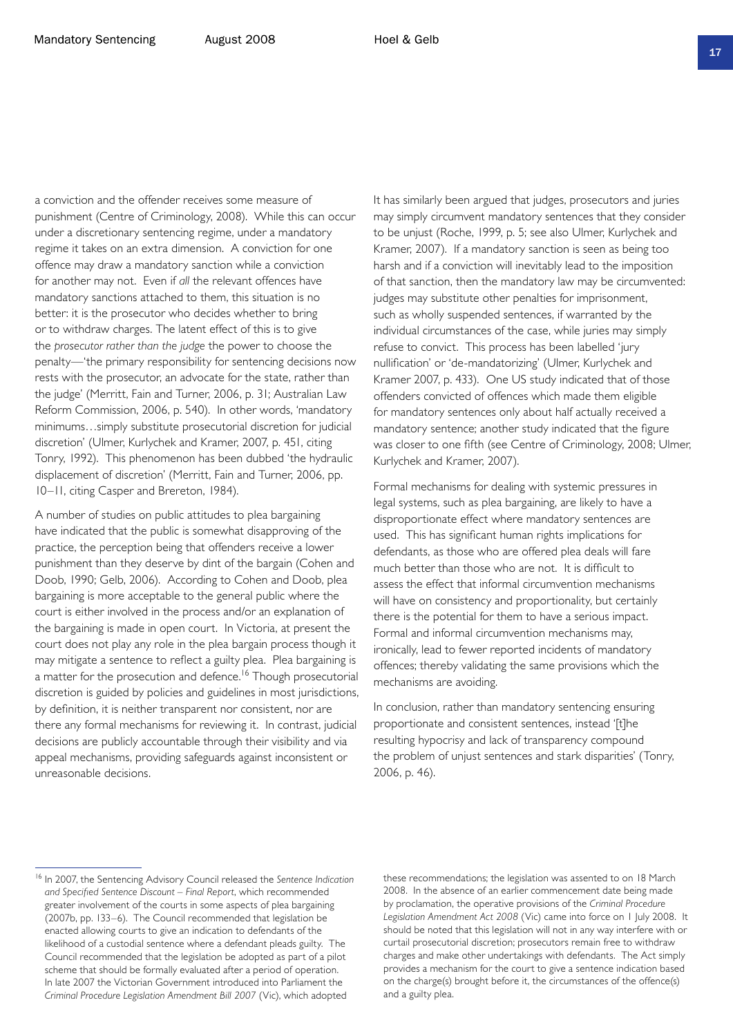a conviction and the offender receives some measure of punishment (Centre of Criminology, 2008). While this can occur under a discretionary sentencing regime, under a mandatory regime it takes on an extra dimension. A conviction for one offence may draw a mandatory sanction while a conviction for another may not. Even if *all* the relevant offences have mandatory sanctions attached to them, this situation is no better: it is the prosecutor who decides whether to bring or to withdraw charges. The latent effect of this is to give the *prosecutor rather than the judge* the power to choose the penalty—'the primary responsibility for sentencing decisions now rests with the prosecutor, an advocate for the state, rather than the judge' (Merritt, Fain and Turner, 2006, p. 31; Australian Law Reform Commission, 2006, p. 540). In other words, 'mandatory minimums…simply substitute prosecutorial discretion for judicial discretion' (Ulmer, Kurlychek and Kramer, 2007, p. 451, citing Tonry, 1992). This phenomenon has been dubbed 'the hydraulic

A number of studies on public attitudes to plea bargaining have indicated that the public is somewhat disapproving of the practice, the perception being that offenders receive a lower punishment than they deserve by dint of the bargain (Cohen and Doob, 1990; Gelb, 2006). According to Cohen and Doob, plea bargaining is more acceptable to the general public where the court is either involved in the process and/or an explanation of the bargaining is made in open court. In Victoria, at present the court does not play any role in the plea bargain process though it may mitigate a sentence to reflect a guilty plea. Plea bargaining is a matter for the prosecution and defence.<sup>16</sup> Though prosecutorial discretion is guided by policies and guidelines in most jurisdictions, by definition, it is neither transparent nor consistent, nor are there any formal mechanisms for reviewing it. In contrast, judicial decisions are publicly accountable through their visibility and via appeal mechanisms, providing safeguards against inconsistent or unreasonable decisions.

displacement of discretion' (Merritt, Fain and Turner, 2006, pp.

10–11, citing Casper and Brereton, 1984).

It has similarly been argued that judges, prosecutors and juries may simply circumvent mandatory sentences that they consider to be unjust (Roche, 1999, p. 5; see also Ulmer, Kurlychek and Kramer, 2007). If a mandatory sanction is seen as being too harsh and if a conviction will inevitably lead to the imposition of that sanction, then the mandatory law may be circumvented: judges may substitute other penalties for imprisonment, such as wholly suspended sentences, if warranted by the individual circumstances of the case, while juries may simply refuse to convict. This process has been labelled 'jury nullification' or 'de-mandatorizing' (Ulmer, Kurlychek and Kramer 2007, p. 433). One US study indicated that of those offenders convicted of offences which made them eligible for mandatory sentences only about half actually received a mandatory sentence; another study indicated that the figure was closer to one fifth (see Centre of Criminology, 2008; Ulmer, Kurlychek and Kramer, 2007).

Formal mechanisms for dealing with systemic pressures in legal systems, such as plea bargaining, are likely to have a disproportionate effect where mandatory sentences are used. This has significant human rights implications for defendants, as those who are offered plea deals will fare much better than those who are not. It is difficult to assess the effect that informal circumvention mechanisms will have on consistency and proportionality, but certainly there is the potential for them to have a serious impact. Formal and informal circumvention mechanisms may, ironically, lead to fewer reported incidents of mandatory offences; thereby validating the same provisions which the mechanisms are avoiding.

In conclusion, rather than mandatory sentencing ensuring proportionate and consistent sentences, instead '[t]he resulting hypocrisy and lack of transparency compound the problem of unjust sentences and stark disparities' (Tonry, 2006, p. 46).

these recommendations; the legislation was assented to on 18 March 2008. In the absence of an earlier commencement date being made by proclamation, the operative provisions of the *Criminal Procedure Legislation Amendment Act 2008* (Vic) came into force on 1 July 2008. It should be noted that this legislation will not in any way interfere with or curtail prosecutorial discretion; prosecutors remain free to withdraw charges and make other undertakings with defendants. The Act simply provides a mechanism for the court to give a sentence indication based on the charge(s) brought before it, the circumstances of the offence(s) and a guilty plea.

<sup>16</sup> In 2007, the Sentencing Advisory Council released the *Sentence Indication and Specified Sentence Discount – Final Report*, which recommended greater involvement of the courts in some aspects of plea bargaining (2007b, pp. 133–6). The Council recommended that legislation be enacted allowing courts to give an indication to defendants of the likelihood of a custodial sentence where a defendant pleads guilty. The Council recommended that the legislation be adopted as part of a pilot scheme that should be formally evaluated after a period of operation. In late 2007 the Victorian Government introduced into Parliament the *Criminal Procedure Legislation Amendment Bill 2007* (Vic), which adopted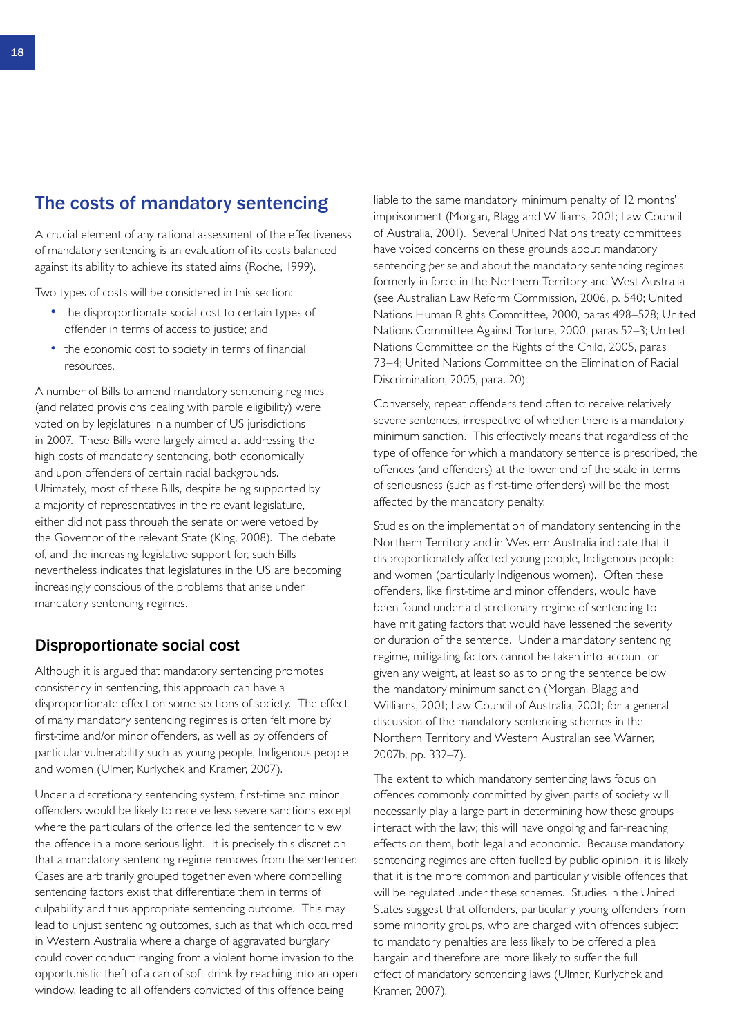### The costs of mandatory sentencing

A crucial element of any rational assessment of the effectiveness of mandatory sentencing is an evaluation of its costs balanced against its ability to achieve its stated aims (Roche, 1999).

Two types of costs will be considered in this section:

- the disproportionate social cost to certain types of offender in terms of access to justice; and
- the economic cost to society in terms of financial resources.

A number of Bills to amend mandatory sentencing regimes (and related provisions dealing with parole eligibility) were voted on by legislatures in a number of US jurisdictions in 2007. These Bills were largely aimed at addressing the high costs of mandatory sentencing, both economically and upon offenders of certain racial backgrounds. Ultimately, most of these Bills, despite being supported by a majority of representatives in the relevant legislature, either did not pass through the senate or were vetoed by the Governor of the relevant State (King, 2008). The debate of, and the increasing legislative support for, such Bills nevertheless indicates that legislatures in the US are becoming increasingly conscious of the problems that arise under mandatory sentencing regimes.

#### Disproportionate social cost

Although it is argued that mandatory sentencing promotes consistency in sentencing, this approach can have a disproportionate effect on some sections of society. The effect of many mandatory sentencing regimes is often felt more by first-time and/or minor offenders, as well as by offenders of particular vulnerability such as young people, Indigenous people and women (Ulmer, Kurlychek and Kramer, 2007).

Under a discretionary sentencing system, first-time and minor offenders would be likely to receive less severe sanctions except where the particulars of the offence led the sentencer to view the offence in a more serious light. It is precisely this discretion that a mandatory sentencing regime removes from the sentencer. Cases are arbitrarily grouped together even where compelling sentencing factors exist that differentiate them in terms of culpability and thus appropriate sentencing outcome. This may lead to unjust sentencing outcomes, such as that which occurred in Western Australia where a charge of aggravated burglary could cover conduct ranging from a violent home invasion to the opportunistic theft of a can of soft drink by reaching into an open window, leading to all offenders convicted of this offence being

liable to the same mandatory minimum penalty of 12 months' imprisonment (Morgan, Blagg and Williams, 2001; Law Council of Australia, 2001). Several United Nations treaty committees have voiced concerns on these grounds about mandatory sentencing *per se* and about the mandatory sentencing regimes formerly in force in the Northern Territory and West Australia (see Australian Law Reform Commission, 2006, p. 540; United Nations Human Rights Committee, 2000, paras 498–528; United Nations Committee Against Torture, 2000, paras 52–3; United Nations Committee on the Rights of the Child, 2005, paras 73–4; United Nations Committee on the Elimination of Racial Discrimination, 2005, para. 20).

Conversely, repeat offenders tend often to receive relatively severe sentences, irrespective of whether there is a mandatory minimum sanction. This effectively means that regardless of the type of offence for which a mandatory sentence is prescribed, the offences (and offenders) at the lower end of the scale in terms of seriousness (such as first-time offenders) will be the most affected by the mandatory penalty.

Studies on the implementation of mandatory sentencing in the Northern Territory and in Western Australia indicate that it disproportionately affected young people, Indigenous people and women (particularly Indigenous women). Often these offenders, like first-time and minor offenders, would have been found under a discretionary regime of sentencing to have mitigating factors that would have lessened the severity or duration of the sentence. Under a mandatory sentencing regime, mitigating factors cannot be taken into account or given any weight, at least so as to bring the sentence below the mandatory minimum sanction (Morgan, Blagg and Williams, 2001; Law Council of Australia, 2001; for a general discussion of the mandatory sentencing schemes in the Northern Territory and Western Australian see Warner, 2007b, pp. 332–7).

The extent to which mandatory sentencing laws focus on offences commonly committed by given parts of society will necessarily play a large part in determining how these groups interact with the law; this will have ongoing and far-reaching effects on them, both legal and economic. Because mandatory sentencing regimes are often fuelled by public opinion, it is likely that it is the more common and particularly visible offences that will be regulated under these schemes. Studies in the United States suggest that offenders, particularly young offenders from some minority groups, who are charged with offences subject to mandatory penalties are less likely to be offered a plea bargain and therefore are more likely to suffer the full effect of mandatory sentencing laws (Ulmer, Kurlychek and Kramer, 2007).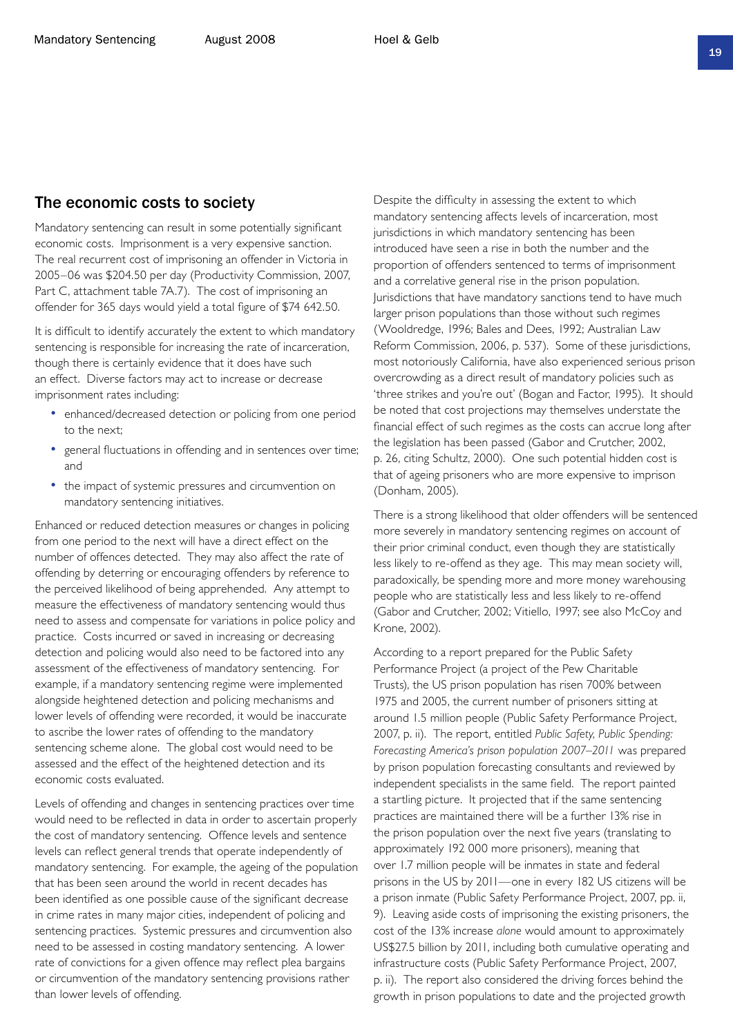#### The economic costs to society

Mandatory sentencing can result in some potentially significant economic costs. Imprisonment is a very expensive sanction. The real recurrent cost of imprisoning an offender in Victoria in 2005–06 was \$204.50 per day (Productivity Commission, 2007, Part C, attachment table 7A.7). The cost of imprisoning an offender for 365 days would yield a total figure of \$74 642.50.

It is difficult to identify accurately the extent to which mandatory sentencing is responsible for increasing the rate of incarceration, though there is certainly evidence that it does have such an effect. Diverse factors may act to increase or decrease imprisonment rates including:

- enhanced/decreased detection or policing from one period to the next;
- general fluctuations in offending and in sentences over time; and
- the impact of systemic pressures and circumvention on mandatory sentencing initiatives.

Enhanced or reduced detection measures or changes in policing from one period to the next will have a direct effect on the number of offences detected. They may also affect the rate of offending by deterring or encouraging offenders by reference to the perceived likelihood of being apprehended. Any attempt to measure the effectiveness of mandatory sentencing would thus need to assess and compensate for variations in police policy and practice. Costs incurred or saved in increasing or decreasing detection and policing would also need to be factored into any assessment of the effectiveness of mandatory sentencing. For example, if a mandatory sentencing regime were implemented alongside heightened detection and policing mechanisms and lower levels of offending were recorded, it would be inaccurate to ascribe the lower rates of offending to the mandatory sentencing scheme alone. The global cost would need to be assessed and the effect of the heightened detection and its economic costs evaluated.

Levels of offending and changes in sentencing practices over time would need to be reflected in data in order to ascertain properly the cost of mandatory sentencing. Offence levels and sentence levels can reflect general trends that operate independently of mandatory sentencing. For example, the ageing of the population that has been seen around the world in recent decades has been identified as one possible cause of the significant decrease in crime rates in many major cities, independent of policing and sentencing practices. Systemic pressures and circumvention also need to be assessed in costing mandatory sentencing. A lower rate of convictions for a given offence may reflect plea bargains or circumvention of the mandatory sentencing provisions rather than lower levels of offending.

Despite the difficulty in assessing the extent to which mandatory sentencing affects levels of incarceration, most jurisdictions in which mandatory sentencing has been introduced have seen a rise in both the number and the proportion of offenders sentenced to terms of imprisonment and a correlative general rise in the prison population. Jurisdictions that have mandatory sanctions tend to have much larger prison populations than those without such regimes (Wooldredge, 1996; Bales and Dees, 1992; Australian Law Reform Commission, 2006, p. 537). Some of these jurisdictions, most notoriously California, have also experienced serious prison overcrowding as a direct result of mandatory policies such as 'three strikes and you're out' (Bogan and Factor, 1995). It should be noted that cost projections may themselves understate the financial effect of such regimes as the costs can accrue long after the legislation has been passed (Gabor and Crutcher, 2002, p. 26, citing Schultz, 2000). One such potential hidden cost is that of ageing prisoners who are more expensive to imprison (Donham, 2005).

There is a strong likelihood that older offenders will be sentenced more severely in mandatory sentencing regimes on account of their prior criminal conduct, even though they are statistically less likely to re-offend as they age. This may mean society will, paradoxically, be spending more and more money warehousing people who are statistically less and less likely to re-offend (Gabor and Crutcher, 2002; Vitiello, 1997; see also McCoy and Krone, 2002).

According to a report prepared for the Public Safety Performance Project (a project of the Pew Charitable Trusts), the US prison population has risen 700% between 1975 and 2005, the current number of prisoners sitting at around 1.5 million people (Public Safety Performance Project, 2007, p. ii). The report, entitled *Public Safety, Public Spending: Forecasting America's prison population 2007–2011* was prepared by prison population forecasting consultants and reviewed by independent specialists in the same field. The report painted a startling picture. It projected that if the same sentencing practices are maintained there will be a further 13% rise in the prison population over the next five years (translating to approximately 192 000 more prisoners), meaning that over 1.7 million people will be inmates in state and federal prisons in the US by 2011—one in every 182 US citizens will be a prison inmate (Public Safety Performance Project, 2007, pp. ii, 9). Leaving aside costs of imprisoning the existing prisoners, the cost of the 13% increase *alone* would amount to approximately US\$27.5 billion by 2011, including both cumulative operating and infrastructure costs (Public Safety Performance Project, 2007, p. ii). The report also considered the driving forces behind the growth in prison populations to date and the projected growth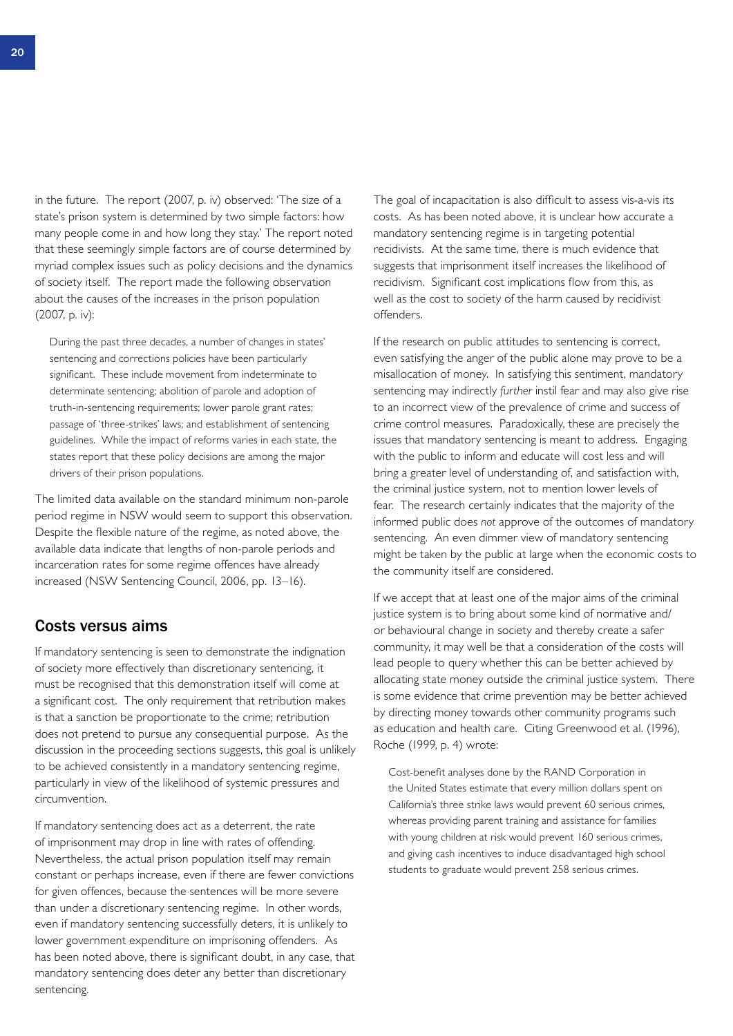in the future. The report (2007, p. iv) observed: 'The size of a state's prison system is determined by two simple factors: how many people come in and how long they stay.' The report noted that these seemingly simple factors are of course determined by myriad complex issues such as policy decisions and the dynamics of society itself. The report made the following observation about the causes of the increases in the prison population (2007, p. iv):

During the past three decades, a number of changes in states' sentencing and corrections policies have been particularly significant. These include movement from indeterminate to determinate sentencing; abolition of parole and adoption of truth-in-sentencing requirements; lower parole grant rates; passage of 'three-strikes' laws; and establishment of sentencing guidelines. While the impact of reforms varies in each state, the states report that these policy decisions are among the major drivers of their prison populations.

The limited data available on the standard minimum non-parole period regime in NSW would seem to support this observation. Despite the flexible nature of the regime, as noted above, the available data indicate that lengths of non-parole periods and incarceration rates for some regime offences have already increased (NSW Sentencing Council, 2006, pp. 13–16).

#### Costs versus aims

If mandatory sentencing is seen to demonstrate the indignation of society more effectively than discretionary sentencing, it must be recognised that this demonstration itself will come at a significant cost. The only requirement that retribution makes is that a sanction be proportionate to the crime; retribution does not pretend to pursue any consequential purpose. As the discussion in the proceeding sections suggests, this goal is unlikely to be achieved consistently in a mandatory sentencing regime, particularly in view of the likelihood of systemic pressures and circumvention.

If mandatory sentencing does act as a deterrent, the rate of imprisonment may drop in line with rates of offending. Nevertheless, the actual prison population itself may remain constant or perhaps increase, even if there are fewer convictions for given offences, because the sentences will be more severe than under a discretionary sentencing regime. In other words, even if mandatory sentencing successfully deters, it is unlikely to lower government expenditure on imprisoning offenders. As has been noted above, there is significant doubt, in any case, that mandatory sentencing does deter any better than discretionary sentencing.

The goal of incapacitation is also difficult to assess vis-a-vis its costs. As has been noted above, it is unclear how accurate a mandatory sentencing regime is in targeting potential recidivists. At the same time, there is much evidence that suggests that imprisonment itself increases the likelihood of recidivism. Significant cost implications flow from this, as well as the cost to society of the harm caused by recidivist offenders.

If the research on public attitudes to sentencing is correct, even satisfying the anger of the public alone may prove to be a misallocation of money. In satisfying this sentiment, mandatory sentencing may indirectly *further* instil fear and may also give rise to an incorrect view of the prevalence of crime and success of crime control measures. Paradoxically, these are precisely the issues that mandatory sentencing is meant to address. Engaging with the public to inform and educate will cost less and will bring a greater level of understanding of, and satisfaction with, the criminal justice system, not to mention lower levels of fear. The research certainly indicates that the majority of the informed public does *not* approve of the outcomes of mandatory sentencing. An even dimmer view of mandatory sentencing might be taken by the public at large when the economic costs to the community itself are considered.

If we accept that at least one of the major aims of the criminal justice system is to bring about some kind of normative and/ or behavioural change in society and thereby create a safer community, it may well be that a consideration of the costs will lead people to query whether this can be better achieved by allocating state money outside the criminal justice system. There is some evidence that crime prevention may be better achieved by directing money towards other community programs such as education and health care. Citing Greenwood et al. (1996), Roche (1999, p. 4) wrote:

Cost-benefit analyses done by the RAND Corporation in the United States estimate that every million dollars spent on California's three strike laws would prevent 60 serious crimes, whereas providing parent training and assistance for families with young children at risk would prevent 160 serious crimes, and giving cash incentives to induce disadvantaged high school students to graduate would prevent 258 serious crimes.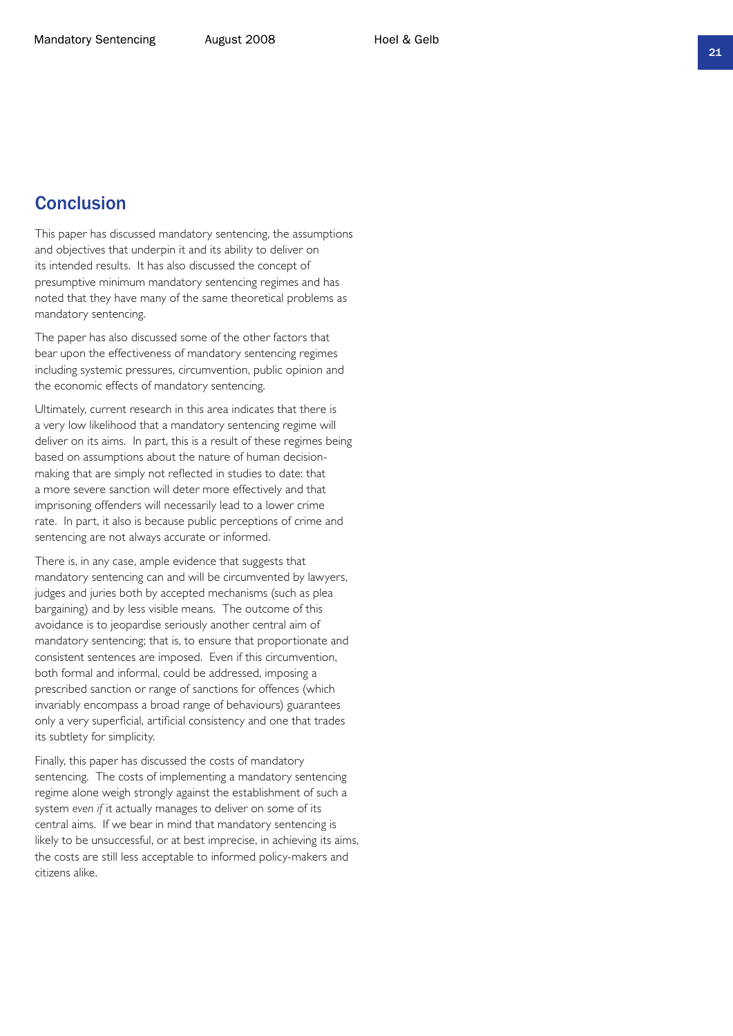### Conclusion

This paper has discussed mandatory sentencing, the assumptions and objectives that underpin it and its ability to deliver on its intended results. It has also discussed the concept of presumptive minimum mandatory sentencing regimes and has noted that they have many of the same theoretical problems as mandatory sentencing.

The paper has also discussed some of the other factors that bear upon the effectiveness of mandatory sentencing regimes including systemic pressures, circumvention, public opinion and the economic effects of mandatory sentencing.

Ultimately, current research in this area indicates that there is a very low likelihood that a mandatory sentencing regime will deliver on its aims. In part, this is a result of these regimes being based on assumptions about the nature of human decisionmaking that are simply not reflected in studies to date: that a more severe sanction will deter more effectively and that imprisoning offenders will necessarily lead to a lower crime rate. In part, it also is because public perceptions of crime and sentencing are not always accurate or informed.

There is, in any case, ample evidence that suggests that mandatory sentencing can and will be circumvented by lawyers, judges and juries both by accepted mechanisms (such as plea bargaining) and by less visible means. The outcome of this avoidance is to jeopardise seriously another central aim of mandatory sentencing; that is, to ensure that proportionate and consistent sentences are imposed. Even if this circumvention, both formal and informal, could be addressed, imposing a prescribed sanction or range of sanctions for offences (which invariably encompass a broad range of behaviours) guarantees only a very superficial, artificial consistency and one that trades its subtlety for simplicity.

Finally, this paper has discussed the costs of mandatory sentencing. The costs of implementing a mandatory sentencing regime alone weigh strongly against the establishment of such a system *even if* it actually manages to deliver on some of its central aims. If we bear in mind that mandatory sentencing is likely to be unsuccessful, or at best imprecise, in achieving its aims, the costs are still less acceptable to informed policy-makers and citizens alike.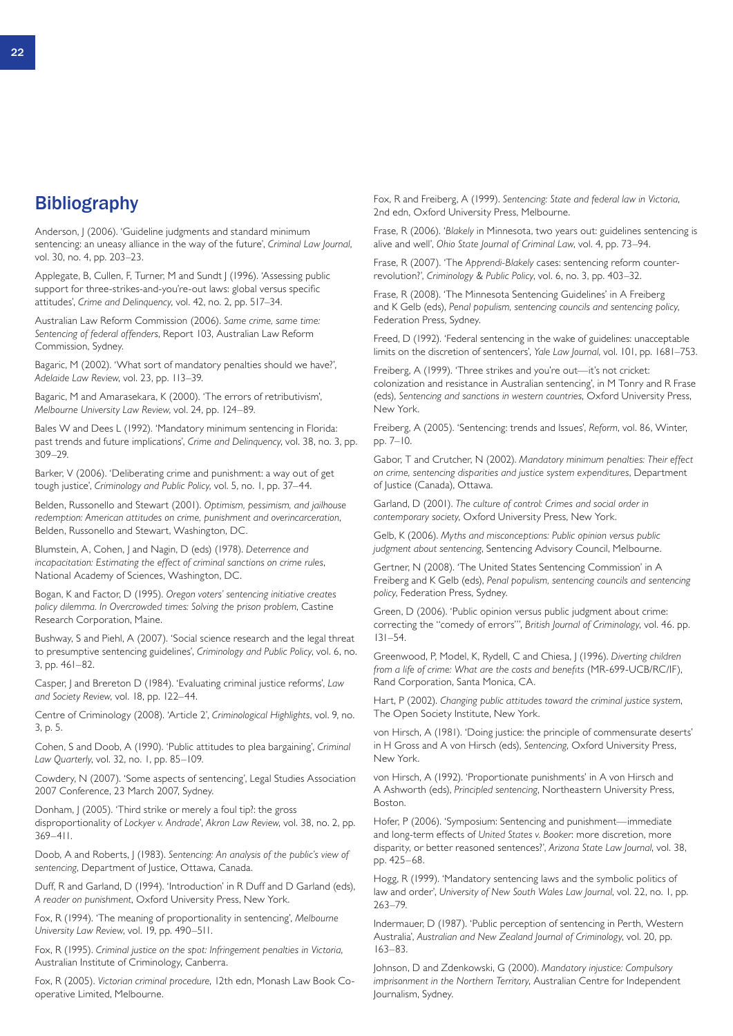### **Bibliography**

Anderson, J (2006). 'Guideline judgments and standard minimum sentencing: an uneasy alliance in the way of the future', *Criminal Law Journal*, vol. 30, no. 4, pp. 203–23.

Applegate, B, Cullen, F, Turner, M and Sundt J (1996). 'Assessing public support for three-strikes-and-you're-out laws: global versus specific attitudes', *Crime and Delinquency*, vol. 42, no. 2, pp. 517–34.

Australian Law Reform Commission (2006). *Same crime, same time: Sentencing of federal offenders*, Report 103, Australian Law Reform Commission, Sydney.

Bagaric, M (2002). 'What sort of mandatory penalties should we have?', *Adelaide Law Review*, vol. 23, pp. 113–39.

Bagaric, M and Amarasekara, K (2000). 'The errors of retributivism', *Melbourne University Law Review*, vol. 24, pp. 124–89.

Bales W and Dees L (1992). 'Mandatory minimum sentencing in Florida: past trends and future implications', *Crime and Delinquency*, vol. 38, no. 3, pp. 309–29.

Barker, V (2006). 'Deliberating crime and punishment: a way out of get tough justice', *Criminology and Public Policy*, vol. 5, no. 1, pp. 37–44.

Belden, Russonello and Stewart (2001). *Optimism, pessimism, and jailhouse redemption: American attitudes on crime, punishment and overincarceration*, Belden, Russonello and Stewart, Washington, DC.

Blumstein, A, Cohen, J and Nagin, D (eds) (1978). *Deterrence and incapacitation: Estimating the effect of criminal sanctions on crime rules*, National Academy of Sciences, Washington, DC.

Bogan, K and Factor, D (1995). *Oregon voters' sentencing initiative creates policy dilemma. In Overcrowded times: Solving the prison problem*, Castine Research Corporation, Maine.

Bushway, S and Piehl, A (2007). 'Social science research and the legal threat to presumptive sentencing guidelines', *Criminology and Public Policy*, vol. 6, no. 3, pp. 461–82.

Casper, J and Brereton D (1984). 'Evaluating criminal justice reforms', *Law and Society Review*, vol. 18, pp. 122–44.

Centre of Criminology (2008). 'Article 2', *Criminological Highlights*, vol. 9, no. 3, p. 5.

Cohen, S and Doob, A (1990). 'Public attitudes to plea bargaining', *Criminal Law Quarterly*, vol. 32, no. 1, pp. 85–109.

Cowdery, N (2007). 'Some aspects of sentencing', Legal Studies Association 2007 Conference, 23 March 2007, Sydney.

Donham, J (2005). 'Third strike or merely a foul tip?: the gross disproportionality of *Lockyer v. Andrade*', *Akron Law Review*, vol. 38, no. 2, pp. 369–411.

Doob, A and Roberts, J (1983). *Sentencing: An analysis of the public's view of sentencing*, Department of Justice, Ottawa, Canada.

Duff, R and Garland, D (1994). 'Introduction' in R Duff and D Garland (eds), *A reader on punishment*, Oxford University Press, New York.

Fox, R (1994). 'The meaning of proportionality in sentencing', *Melbourne University Law Review*, vol. 19, pp. 490–511.

Fox, R (1995). *Criminal justice on the spot: Infringement penalties in Victoria*, Australian Institute of Criminology, Canberra.

Fox, R (2005). *Victorian criminal procedure*, 12th edn, Monash Law Book Cooperative Limited, Melbourne.

Fox, R and Freiberg, A (1999). *Sentencing: State and federal law in Victoria*, 2nd edn, Oxford University Press, Melbourne.

Frase, R (2006). '*Blakely* in Minnesota, two years out: guidelines sentencing is alive and well', *Ohio State Journal of Criminal Law*, vol. 4, pp. 73–94.

Frase, R (2007). 'The *Apprendi-Blakely* cases: sentencing reform counterrevolution?', *Criminology & Public Policy*, vol. 6, no. 3, pp. 403–32.

Frase, R (2008). 'The Minnesota Sentencing Guidelines' in A Freiberg and K Gelb (eds), *Penal populism, sentencing councils and sentencing policy*, Federation Press, Sydney.

Freed, D (1992). 'Federal sentencing in the wake of guidelines: unacceptable limits on the discretion of sentencers', *Yale Law Journal*, vol. 101, pp. 1681–753.

Freiberg, A (1999). 'Three strikes and you're out—it's not cricket: colonization and resistance in Australian sentencing', in M Tonry and R Frase (eds), *Sentencing and sanctions in western countries*, Oxford University Press, New York.

Freiberg, A (2005). 'Sentencing: trends and Issues', *Reform*, vol. 86, Winter, pp. 7–10.

Gabor, T and Crutcher, N (2002). *Mandatory minimum penalties: Their effect on crime, sentencing disparities and justice system expenditures*, Department of Justice (Canada), Ottawa.

Garland, D (2001). *The culture of control: Crimes and social order in contemporary society*, Oxford University Press, New York.

Gelb, K (2006). *Myths and misconceptions: Public opinion versus public judgment about sentencing*, Sentencing Advisory Council, Melbourne.

Gertner, N (2008). 'The United States Sentencing Commission' in A Freiberg and K Gelb (eds), *Penal populism, sentencing councils and sentencing policy*, Federation Press, Sydney.

Green, D (2006). 'Public opinion versus public judgment about crime: correcting the "comedy of errors"', *British Journal of Criminology*, vol. 46. pp. 131–54.

Greenwood, P, Model, K, Rydell, C and Chiesa, J (1996). *Diverting children from a life of crime: What are the costs and benefits* (MR-699-UCB/RC/IF), Rand Corporation, Santa Monica, CA.

Hart, P (2002). *Changing public attitudes toward the criminal justice system*, The Open Society Institute, New York.

von Hirsch, A (1981). 'Doing justice: the principle of commensurate deserts' in H Gross and A von Hirsch (eds), *Sentencing*, Oxford University Press, New York.

von Hirsch, A (1992). 'Proportionate punishments' in A von Hirsch and A Ashworth (eds), *Principled sentencing*, Northeastern University Press, Boston.

Hofer, P (2006). 'Symposium: Sentencing and punishment—immediate and long-term effects of *United States v. Booker*: more discretion, more disparity, or better reasoned sentences?', *Arizona State Law Journal*, vol. 38, pp. 425–68.

Hogg, R (1999). 'Mandatory sentencing laws and the symbolic politics of law and order', *University of New South Wales Law Journal*, vol. 22, no. 1, pp. 263–79.

Indermauer, D (1987). 'Public perception of sentencing in Perth, Western Australia', *Australian and New Zealand Journal of Criminology*, vol. 20, pp. 163–83.

Johnson, D and Zdenkowski, G (2000). *Mandatory injustice: Compulsory imprisonment in the Northern Territory*, Australian Centre for Independent Journalism, Sydney.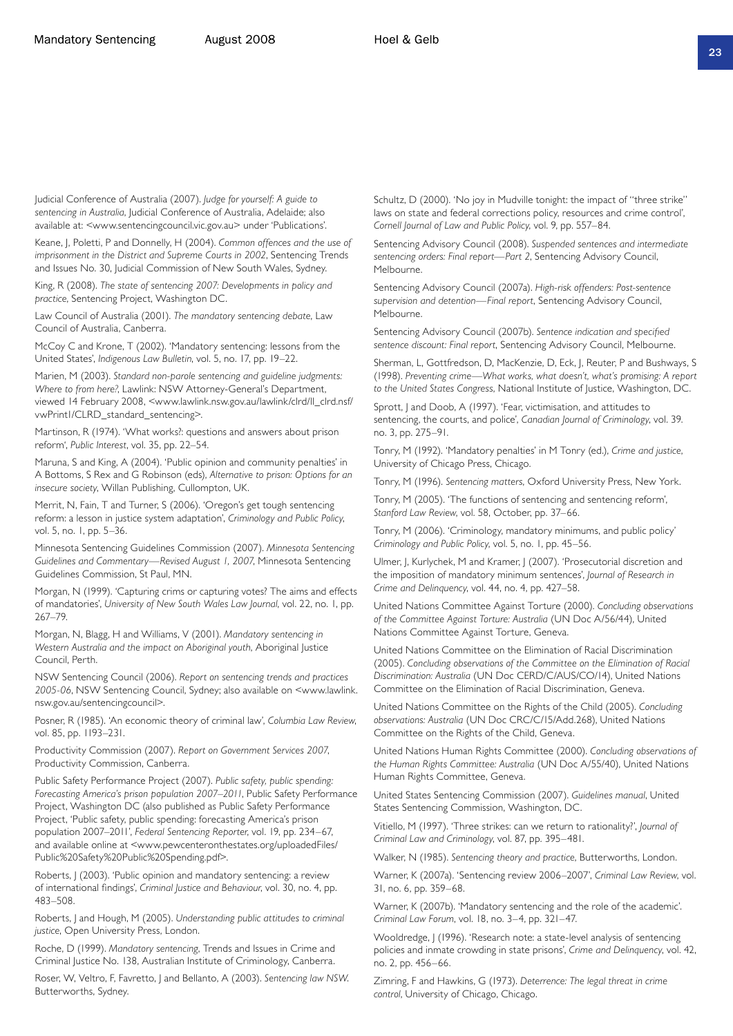Judicial Conference of Australia (2007). *Judge for yourself: A guide to sentencing in Australia*, Judicial Conference of Australia, Adelaide; also available at: <www.sentencingcouncil.vic.gov.au> under 'Publications'.

Keane, J, Poletti, P and Donnelly, H (2004). *Common offences and the use of imprisonment in the District and Supreme Courts in 2002*, Sentencing Trends and Issues No. 30, Judicial Commission of New South Wales, Sydney.

King, R (2008). *The state of sentencing 2007: Developments in policy and practice*, Sentencing Project, Washington DC.

Law Council of Australia (2001). *The mandatory sentencing debate*, Law Council of Australia, Canberra.

McCoy C and Krone, T (2002). 'Mandatory sentencing: lessons from the United States', *Indigenous Law Bulletin*, vol. 5, no. 17, pp. 19–22.

Marien, M (2003). *Standard non-parole sentencing and guideline judgments: Where to from here?*, Lawlink: NSW Attorney-General's Department, viewed 14 February 2008, <www.lawlink.nsw.gov.au/lawlink/clrd/ll\_clrd.nsf/ vwPrint1/CLRD\_standard\_sentencing>.

Martinson, R (1974). 'What works?: questions and answers about prison reform', *Public Interest*, vol. 35, pp. 22–54.

Maruna, S and King, A (2004). 'Public opinion and community penalties' in A Bottoms, S Rex and G Robinson (eds), *Alternative to prison: Options for an insecure society*, Willan Publishing, Cullompton, UK.

Merrit, N, Fain, T and Turner, S (2006). 'Oregon's get tough sentencing reform: a lesson in justice system adaptation', *Criminology and Public Policy*, vol. 5, no. 1, pp. 5–36.

Minnesota Sentencing Guidelines Commission (2007). *Minnesota Sentencing Guidelines and Commentary—Revised August 1, 2007*, Minnesota Sentencing Guidelines Commission, St Paul, MN.

Morgan, N (1999). 'Capturing crims or capturing votes? The aims and effects of mandatories', *University of New South Wales Law Journal*, vol. 22, no. 1, pp. 267–79.

Morgan, N, Blagg, H and Williams, V (2001). *Mandatory sentencing in Western Australia and the impact on Aboriginal youth*, Aboriginal Justice Council, Perth.

NSW Sentencing Council (2006). *Report on sentencing trends and practices 2005-06*, NSW Sentencing Council, Sydney; also available on <www.lawlink. nsw.gov.au/sentencingcouncil>.

Posner, R (1985). 'An economic theory of criminal law', *Columbia Law Review*, vol. 85, pp. 1193–231.

Productivity Commission (2007). *Report on Government Services 2007*, Productivity Commission, Canberra.

Public Safety Performance Project (2007). *Public safety, public spending: Forecasting America's prison population 2007–2011*, Public Safety Performance Project, Washington DC (also published as Public Safety Performance Project, 'Public safety, public spending: forecasting America's prison population 2007–2011', *Federal Sentencing Reporter*, vol. 19, pp. 234–67, and available online at <www.pewcenteronthestates.org/uploadedFiles/ Public%20Safety%20Public%20Spending.pdf>.

Roberts, J (2003). 'Public opinion and mandatory sentencing: a review of international findings', *Criminal Justice and Behaviour*, vol. 30, no. 4, pp. 483–508.

Roberts, J and Hough, M (2005). *Understanding public attitudes to criminal justice*, Open University Press, London.

Roche, D (1999). *Mandatory sentencing*, Trends and Issues in Crime and Criminal Justice No. 138, Australian Institute of Criminology, Canberra.

Roser, W, Veltro, F, Favretto, J and Bellanto, A (2003). *Sentencing law NSW*. Butterworths, Sydney.

Schultz, D (2000). 'No joy in Mudville tonight: the impact of "three strike" laws on state and federal corrections policy, resources and crime control', *Cornell Journal of Law and Public Policy*, vol. 9, pp. 557–84.

Sentencing Advisory Council (2008). *Suspended sentences and intermediate sentencing orders: Final report—Part 2*, Sentencing Advisory Council, Melbourne.

Sentencing Advisory Council (2007a). *High-risk offenders: Post-sentence supervision and detention—Final report*, Sentencing Advisory Council, Melbourne.

Sentencing Advisory Council (2007b). *Sentence indication and specified sentence discount: Final report*, Sentencing Advisory Council, Melbourne.

Sherman, L, Gottfredson, D, MacKenzie, D, Eck, J, Reuter, P and Bushways, S (1998). *Preventing crime—What works, what doesn't, what's promising: A report to the United States Congress*, National Institute of Justice, Washington, DC.

Sprott, J and Doob, A (1997). 'Fear, victimisation, and attitudes to sentencing, the courts, and police', *Canadian Journal of Criminology*, vol. 39. no. 3, pp. 275–91.

Tonry, M (1992). 'Mandatory penalties' in M Tonry (ed.), *Crime and justice*, University of Chicago Press, Chicago.

Tonry, M (1996). *Sentencing matters*, Oxford University Press, New York.

Tonry, M (2005). 'The functions of sentencing and sentencing reform', *Stanford Law Review*, vol. 58, October, pp. 37–66.

Tonry, M (2006). 'Criminology, mandatory minimums, and public policy' *Criminology and Public Policy*, vol. 5, no. 1, pp. 45–56.

Ulmer, J, Kurlychek, M and Kramer, J (2007). 'Prosecutorial discretion and the imposition of mandatory minimum sentences', *Journal of Research in Crime and Delinquency*, vol. 44, no. 4, pp. 427–58.

United Nations Committee Against Torture (2000). *Concluding observations of the Committee Against Torture: Australia* (UN Doc A/56/44), United Nations Committee Against Torture, Geneva.

United Nations Committee on the Elimination of Racial Discrimination (2005). *Concluding observations of the Committee on the Elimination of Racial Discrimination: Australia* (UN Doc CERD/C/AUS/CO/14), United Nations Committee on the Elimination of Racial Discrimination, Geneva.

United Nations Committee on the Rights of the Child (2005). *Concluding observations: Australia* (UN Doc CRC/C/15/Add.268), United Nations Committee on the Rights of the Child, Geneva.

United Nations Human Rights Committee (2000). *Concluding observations of the Human Rights Committee: Australia* (UN Doc A/55/40), United Nations Human Rights Committee, Geneva.

United States Sentencing Commission (2007). *Guidelines manual*, United States Sentencing Commission, Washington, DC.

Vitiello, M (1997). 'Three strikes: can we return to rationality?', *Journal of Criminal Law and Criminology*, vol. 87, pp. 395–481.

Walker, N (1985). *Sentencing theory and practice*, Butterworths, London.

Warner, K (2007a). 'Sentencing review 2006–2007', *Criminal Law Review*, vol. 31, no. 6, pp. 359–68.

Warner, K (2007b). 'Mandatory sentencing and the role of the academic'. *Criminal Law Forum*, vol. 18, no. 3–4, pp. 321–47.

Wooldredge, J (1996). 'Research note: a state-level analysis of sentencing policies and inmate crowding in state prisons', *Crime and Delinquency*, vol. 42, no. 2, pp. 456–66.

Zimring, F and Hawkins, G (1973). *Deterrence: The legal threat in crime control*, University of Chicago, Chicago.